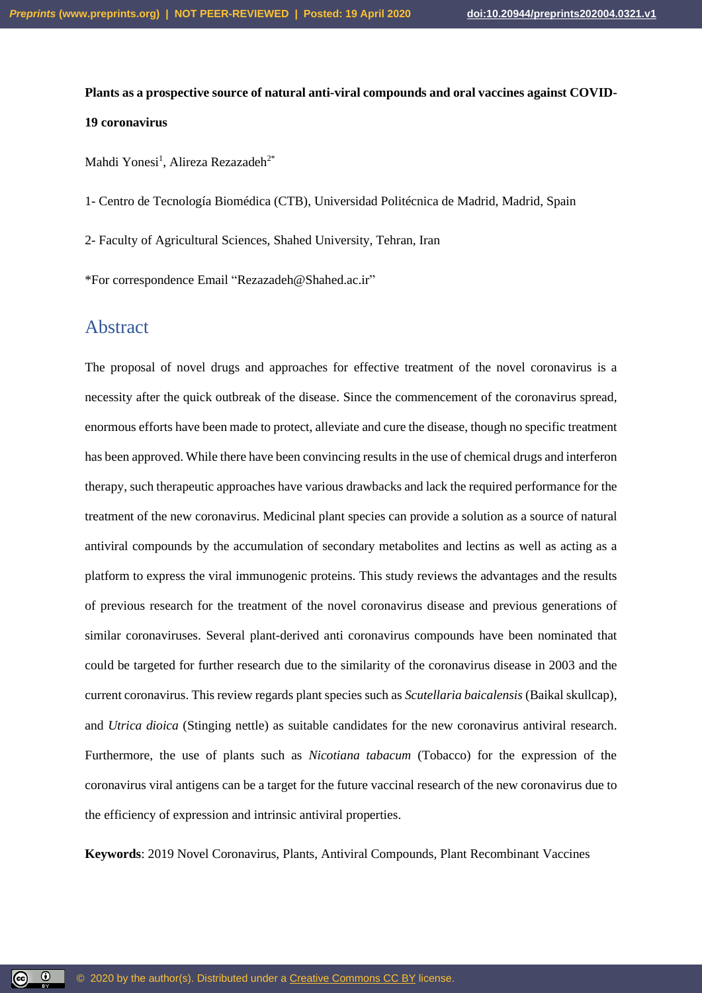# <span id="page-0-0"></span>**Plants as a prospective source of natural anti-viral compounds and oral vaccines against COVID-19 coronavirus**

Mahdi Yonesi<sup>1</sup>, Alireza Rezazadeh<sup>2\*</sup>

- 1- Centro de Tecnología Biomédica (CTB), Universidad Politécnica de Madrid, Madrid, Spain
- 2- Faculty of Agricultural Sciences, Shahed University, Tehran, Iran

\*For correspondence Email "Rezazadeh@Shahed.ac.ir"

### Abstract

ര $\overline{)}$  0

The proposal of novel drugs and approaches for effective treatment of the novel coronavirus is a necessity after the quick outbreak of the disease. Since the commencement of the coronavirus spread, enormous efforts have been made to protect, alleviate and cure the disease, though no specific treatment has been approved. While there have been convincing results in the use of chemical drugs and interferon therapy, such therapeutic approaches have various drawbacks and lack the required performance for the treatment of the new coronavirus. Medicinal plant species can provide a solution as a source of natural antiviral compounds by the accumulation of secondary metabolites and lectins as well as acting as a platform to express the viral immunogenic proteins. This study reviews the advantages and the results of previous research for the treatment of the novel coronavirus disease and previous generations of similar coronaviruses. Several plant-derived anti coronavirus compounds have been nominated that could be targeted for further research due to the similarity of the coronavirus disease in 2003 and the current coronavirus. This review regards plant species such as *Scutellaria baicalensis* (Baikal skullcap), and *Utrica dioica* (Stinging nettle) as suitable candidates for the new coronavirus antiviral research. Furthermore, the use of plants such as *Nicotiana tabacum* (Tobacco) for the expression of the coronavirus viral antigens can be a target for the future vaccinal research of the new coronavirus due to the efficiency of expression and intrinsic antiviral properties.

**Keywords**: 2019 Novel Coronavirus, Plants, Antiviral Compounds, Plant Recombinant Vaccines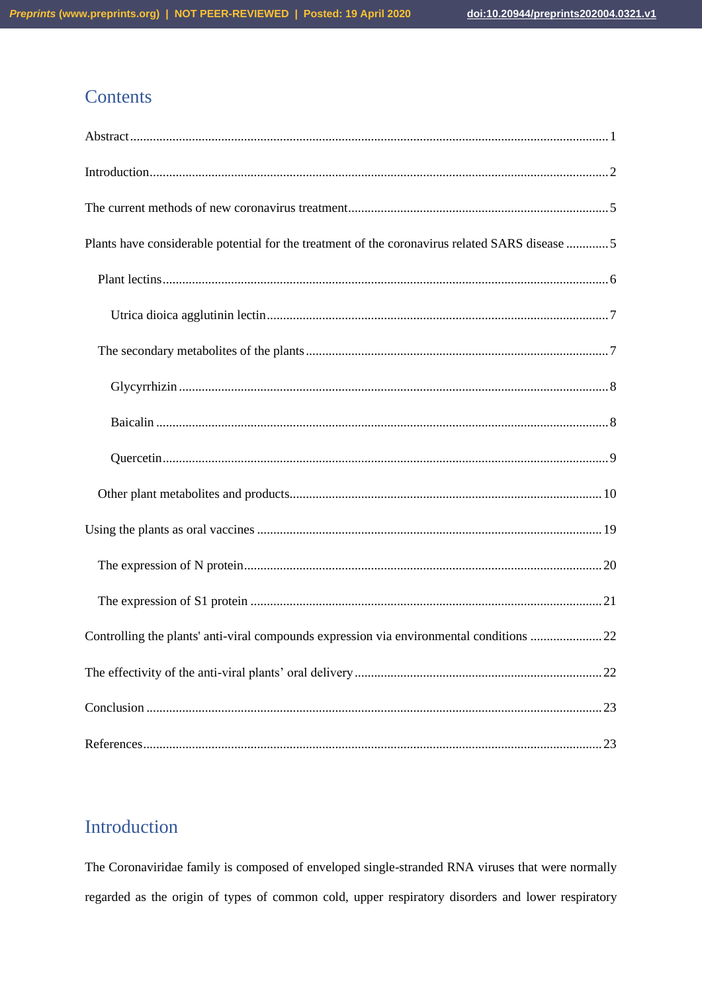## **Contents**

| Plants have considerable potential for the treatment of the coronavirus related SARS disease 5 |
|------------------------------------------------------------------------------------------------|
|                                                                                                |
|                                                                                                |
|                                                                                                |
|                                                                                                |
|                                                                                                |
|                                                                                                |
|                                                                                                |
|                                                                                                |
|                                                                                                |
|                                                                                                |
| Controlling the plants' anti-viral compounds expression via environmental conditions 22        |
|                                                                                                |
|                                                                                                |
|                                                                                                |

# <span id="page-1-0"></span>Introduction

The Coronaviridae family is composed of enveloped single-stranded RNA viruses that were normally regarded as the origin of types of common cold, upper respiratory disorders and lower respiratory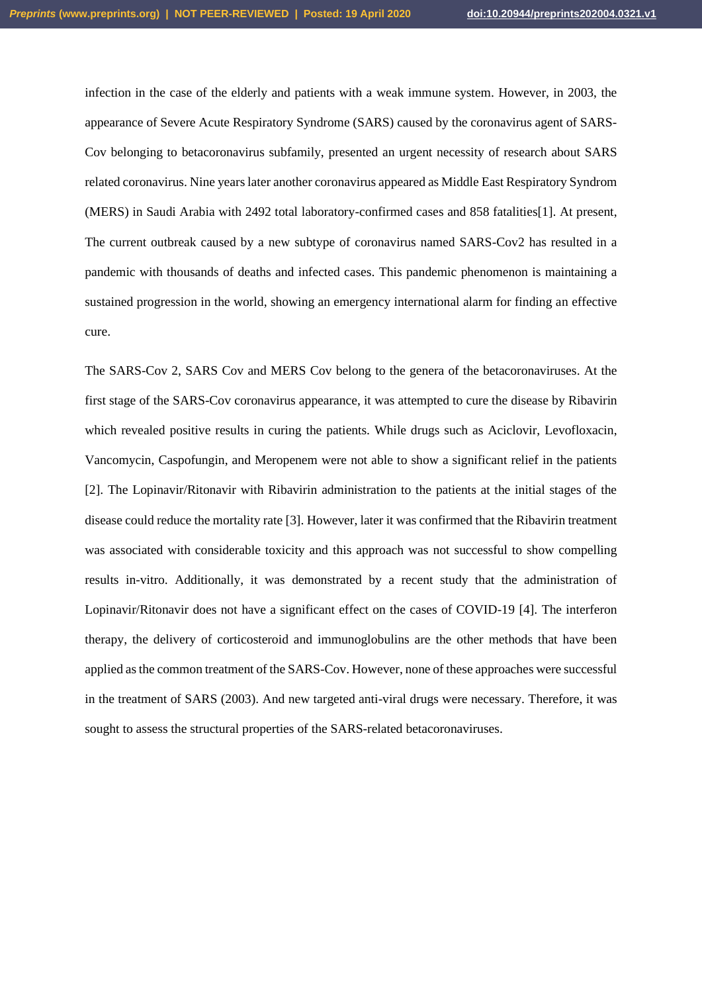infection in the case of the elderly and patients with a weak immune system. However, in 2003, the appearance of Severe Acute Respiratory Syndrome (SARS) caused by the coronavirus agent of SARS-Cov belonging to betacoronavirus subfamily, presented an urgent necessity of research about SARS related coronavirus. Nine years later another coronavirus appeared as Middle East Respiratory Syndrom (MERS) in Saudi Arabia with 2492 total laboratory-confirmed cases and 858 fatalities[1]. At present, The current outbreak caused by a new subtype of coronavirus named SARS-Cov2 has resulted in a pandemic with thousands of deaths and infected cases. This pandemic phenomenon is maintaining a sustained progression in the world, showing an emergency international alarm for finding an effective cure.

The SARS-Cov 2, SARS Cov and MERS Cov belong to the genera of the betacoronaviruses. At the first stage of the SARS-Cov coronavirus appearance, it was attempted to cure the disease by Ribavirin which revealed positive results in curing the patients. While drugs such as Aciclovir, Levofloxacin, Vancomycin, Caspofungin, and Meropenem were not able to show a significant relief in the patients [2]. The Lopinavir/Ritonavir with Ribavirin administration to the patients at the initial stages of the disease could reduce the mortality rate [3]. However, later it was confirmed that the Ribavirin treatment was associated with considerable toxicity and this approach was not successful to show compelling results in-vitro. Additionally, it was demonstrated by a recent study that the administration of Lopinavir/Ritonavir does not have a significant effect on the cases of COVID-19 [4]. The interferon therapy, the delivery of corticosteroid and immunoglobulins are the other methods that have been applied as the common treatment of the SARS-Cov. However, none of these approaches were successful in the treatment of SARS (2003). And new targeted anti-viral drugs were necessary. Therefore, it was sought to assess the structural properties of the SARS-related betacoronaviruses.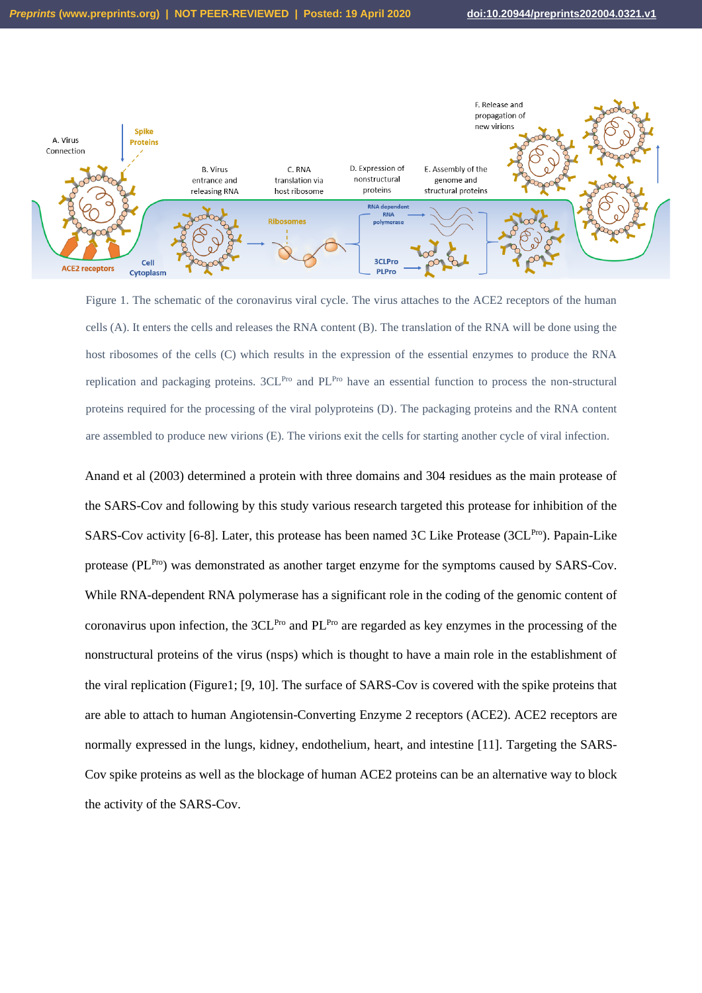

Figure 1. The schematic of the coronavirus viral cycle. The virus attaches to the ACE2 receptors of the human cells (A). It enters the cells and releases the RNA content (B). The translation of the RNA will be done using the host ribosomes of the cells (C) which results in the expression of the essential enzymes to produce the RNA replication and packaging proteins. 3CL<sup>Pro</sup> and PL<sup>Pro</sup> have an essential function to process the non-structural proteins required for the processing of the viral polyproteins (D). The packaging proteins and the RNA content are assembled to produce new virions (E). The virions exit the cells for starting another cycle of viral infection.

Anand et al (2003) determined a protein with three domains and 304 residues as the main protease of the SARS-Cov and following by this study various research targeted this protease for inhibition of the SARS-Cov activity [6-8]. Later, this protease has been named 3C Like Protease (3CLPro). Papain-Like protease (PL<sup>Pro</sup>) was demonstrated as another target enzyme for the symptoms caused by SARS-Cov. While RNA-dependent RNA polymerase has a significant role in the coding of the genomic content of coronavirus upon infection, the 3CL<sup>Pro</sup> and PL<sup>Pro</sup> are regarded as key enzymes in the processing of the nonstructural proteins of the virus (nsps) which is thought to have a main role in the establishment of the viral replication (Figure1; [9, 10]. The surface of SARS-Cov is covered with the spike proteins that are able to attach to human Angiotensin-Converting Enzyme 2 receptors (ACE2). ACE2 receptors are normally expressed in the lungs, kidney, endothelium, heart, and intestine [11]. Targeting the SARS-Cov spike proteins as well as the blockage of human ACE2 proteins can be an alternative way to block the activity of the SARS-Cov.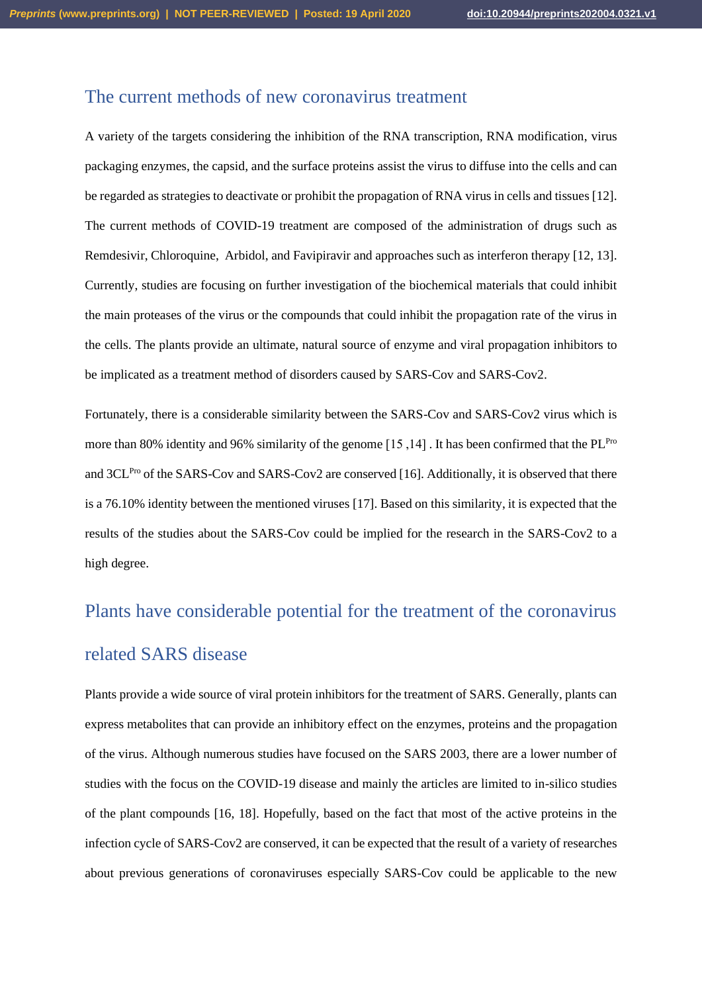## <span id="page-4-0"></span>The current methods of new coronavirus treatment

A variety of the targets considering the inhibition of the RNA transcription, RNA modification, virus packaging enzymes, the capsid, and the surface proteins assist the virus to diffuse into the cells and can be regarded as strategies to deactivate or prohibit the propagation of RNA virus in cells and tissues [12]. The current methods of COVID-19 treatment are composed of the administration of drugs such as Remdesivir, Chloroquine, Arbidol, and Favipiravir and approaches such as interferon therapy [12, 13]. Currently, studies are focusing on further investigation of the biochemical materials that could inhibit the main proteases of the virus or the compounds that could inhibit the propagation rate of the virus in the cells. The plants provide an ultimate, natural source of enzyme and viral propagation inhibitors to be implicated as a treatment method of disorders caused by SARS-Cov and SARS-Cov2.

Fortunately, there is a considerable similarity between the SARS-Cov and SARS-Cov2 virus which is more than 80% identity and 96% similarity of the genome  $[15,14]$ . It has been confirmed that the PL<sup>Pro</sup> and 3CL<sup>Pro</sup> of the SARS-Cov and SARS-Cov2 are conserved [16]. Additionally, it is observed that there is a 76.10% identity between the mentioned viruses [17]. Based on this similarity, it is expected that the results of the studies about the SARS-Cov could be implied for the research in the SARS-Cov2 to a high degree.

# <span id="page-4-1"></span>Plants have considerable potential for the treatment of the coronavirus related SARS disease

Plants provide a wide source of viral protein inhibitors for the treatment of SARS. Generally, plants can express metabolites that can provide an inhibitory effect on the enzymes, proteins and the propagation of the virus. Although numerous studies have focused on the SARS 2003, there are a lower number of studies with the focus on the COVID-19 disease and mainly the articles are limited to in-silico studies of the plant compounds [16, 18]. Hopefully, based on the fact that most of the active proteins in the infection cycle of SARS-Cov2 are conserved, it can be expected that the result of a variety of researches about previous generations of coronaviruses especially SARS-Cov could be applicable to the new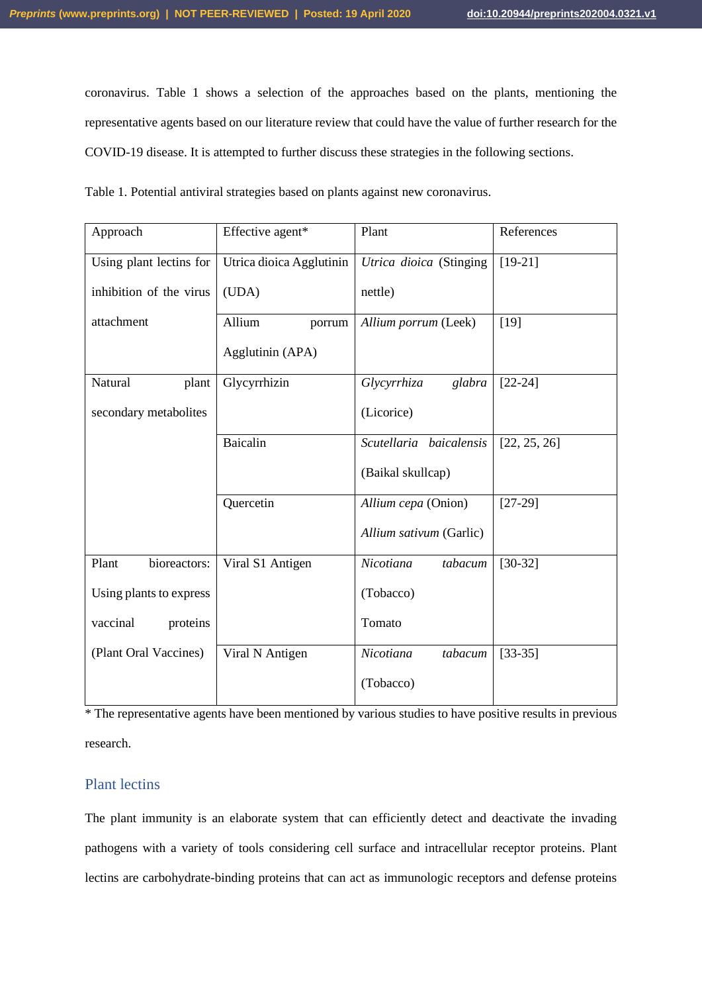coronavirus. Table 1 shows a selection of the approaches based on the plants, mentioning the representative agents based on our literature review that could have the value of further research for the COVID-19 disease. It is attempted to further discuss these strategies in the following sections.

Table 1. Potential antiviral strategies based on plants against new coronavirus.

| Approach                | Effective agent*         | Plant                   | References   |  |
|-------------------------|--------------------------|-------------------------|--------------|--|
| Using plant lectins for | Utrica dioica Agglutinin | Utrica dioica (Stinging | $[19-21]$    |  |
| inhibition of the virus | (UDA)                    | nettle)                 |              |  |
| attachment              | Allium<br>porrum         | Allium porrum (Leek)    | $[19]$       |  |
|                         | Agglutinin (APA)         |                         |              |  |
| Natural<br>plant        | Glycyrrhizin             | Glycyrrhiza<br>glabra   | $[22-24]$    |  |
| secondary metabolites   |                          | (Licorice)              |              |  |
|                         | <b>Baicalin</b>          | Scutellaria baicalensis | [22, 25, 26] |  |
|                         |                          | (Baikal skullcap)       |              |  |
|                         | Quercetin                | Allium cepa (Onion)     | $[27-29]$    |  |
|                         |                          | Allium sativum (Garlic) |              |  |
| Plant<br>bioreactors:   | Viral S1 Antigen         | Nicotiana<br>tabacum    | $[30-32]$    |  |
| Using plants to express |                          | (Tobacco)               |              |  |
| vaccinal<br>proteins    |                          | Tomato                  |              |  |
| (Plant Oral Vaccines)   | Viral N Antigen          | Nicotiana<br>tabacum    | $[33-35]$    |  |
|                         |                          | (Tobacco)               |              |  |

\* The representative agents have been mentioned by various studies to have positive results in previous research.

#### <span id="page-5-0"></span>Plant lectins

The plant immunity is an elaborate system that can efficiently detect and deactivate the invading pathogens with a variety of tools considering cell surface and intracellular receptor proteins. Plant lectins are carbohydrate-binding proteins that can act as immunologic receptors and defense proteins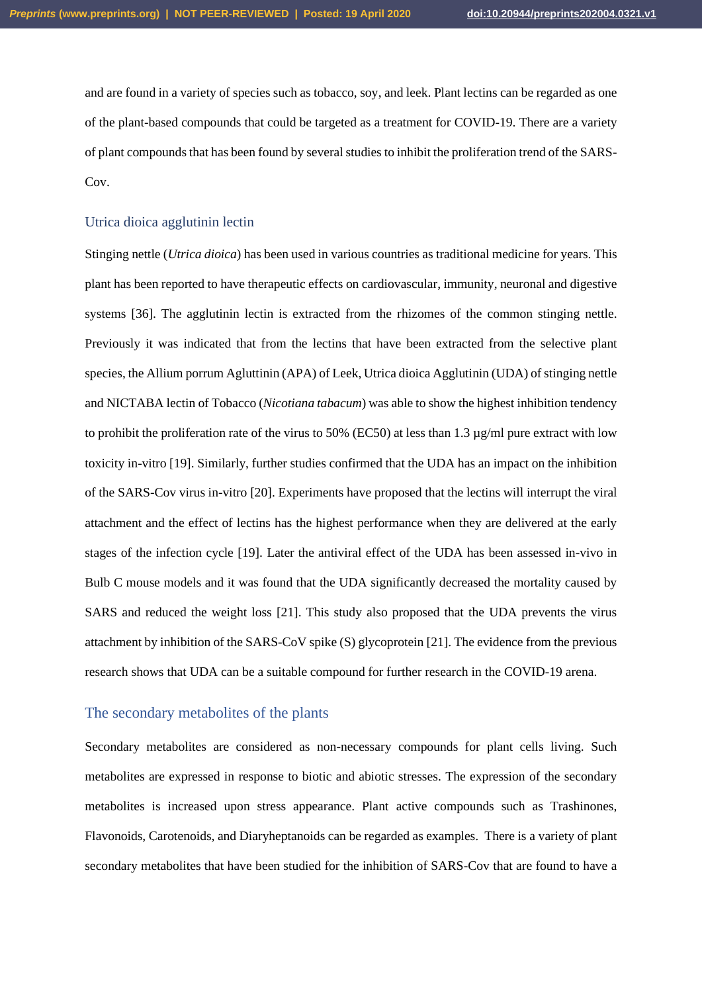and are found in a variety of species such as tobacco, soy, and leek. Plant lectins can be regarded as one of the plant-based compounds that could be targeted as a treatment for COVID-19. There are a variety of plant compounds that has been found by several studies to inhibit the proliferation trend of the SARS-Cov.

#### <span id="page-6-0"></span>Utrica dioica agglutinin lectin

Stinging nettle (*Utrica dioica*) has been used in various countries as traditional medicine for years. This plant has been reported to have therapeutic effects on cardiovascular, immunity, neuronal and digestive systems [36]. The agglutinin lectin is extracted from the rhizomes of the common stinging nettle. Previously it was indicated that from the lectins that have been extracted from the selective plant species, the Allium porrum Agluttinin (APA) of Leek, Utrica dioica Agglutinin (UDA) of stinging nettle and NICTABA lectin of Tobacco (*Nicotiana tabacum*) was able to show the highest inhibition tendency to prohibit the proliferation rate of the virus to 50% (EC50) at less than 1.3  $\mu$ g/ml pure extract with low toxicity in-vitro [19]. Similarly, further studies confirmed that the UDA has an impact on the inhibition of the SARS-Cov virus in-vitro [20]. Experiments have proposed that the lectins will interrupt the viral attachment and the effect of lectins has the highest performance when they are delivered at the early stages of the infection cycle [19]. Later the antiviral effect of the UDA has been assessed in-vivo in Bulb C mouse models and it was found that the UDA significantly decreased the mortality caused by SARS and reduced the weight loss [21]. This study also proposed that the UDA prevents the virus attachment by inhibition of the SARS-CoV spike (S) glycoprotein [21]. The evidence from the previous research shows that UDA can be a suitable compound for further research in the COVID-19 arena.

#### <span id="page-6-1"></span>The secondary metabolites of the plants

Secondary metabolites are considered as non-necessary compounds for plant cells living. Such metabolites are expressed in response to biotic and abiotic stresses. The expression of the secondary metabolites is increased upon stress appearance. Plant active compounds such as Trashinones, Flavonoids, Carotenoids, and Diaryheptanoids can be regarded as examples. There is a variety of plant secondary metabolites that have been studied for the inhibition of SARS-Cov that are found to have a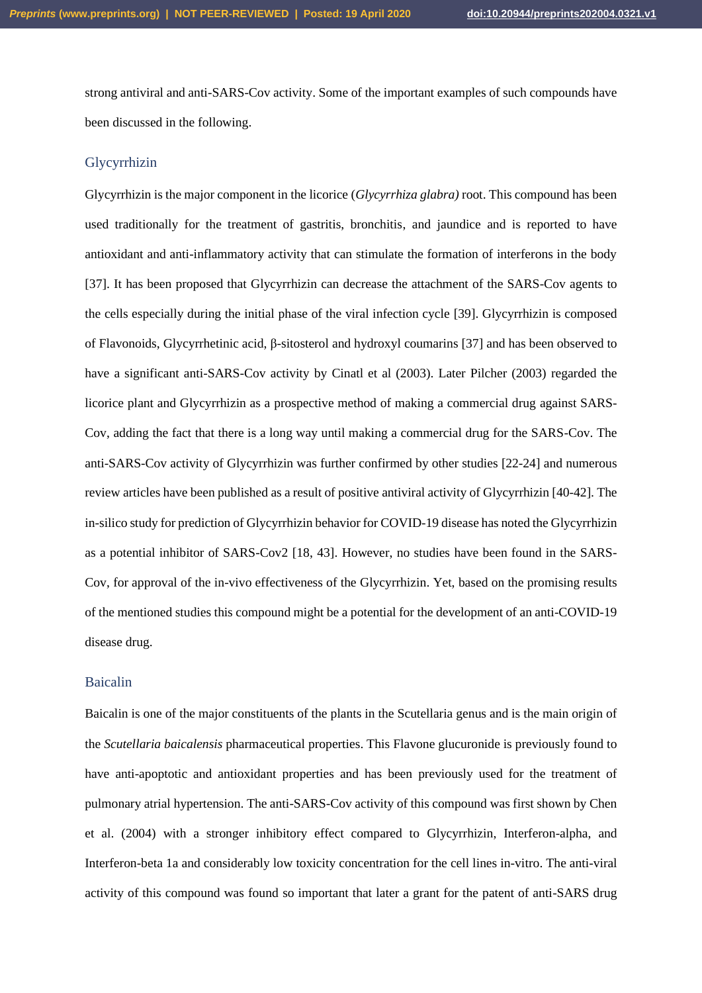strong antiviral and anti-SARS-Cov activity. Some of the important examples of such compounds have been discussed in the following.

#### <span id="page-7-0"></span>Glycyrrhizin

Glycyrrhizin is the major component in the licorice (*Glycyrrhiza glabra)* root. This compound has been used traditionally for the treatment of gastritis, bronchitis, and jaundice and is reported to have antioxidant and anti-inflammatory activity that can stimulate the formation of interferons in the body [37]. It has been proposed that Glycyrrhizin can decrease the attachment of the SARS-Cov agents to the cells especially during the initial phase of the viral infection cycle [39]. Glycyrrhizin is composed of Flavonoids, Glycyrrhetinic acid, β-sitosterol and hydroxyl coumarins [37] and has been observed to have a significant anti-SARS-Cov activity by Cinatl et al (2003). Later Pilcher (2003) regarded the licorice plant and Glycyrrhizin as a prospective method of making a commercial drug against SARS-Cov, adding the fact that there is a long way until making a commercial drug for the SARS-Cov. The anti-SARS-Cov activity of Glycyrrhizin was further confirmed by other studies [22-24] and numerous review articles have been published as a result of positive antiviral activity of Glycyrrhizin [40-42]. The in-silico study for prediction of Glycyrrhizin behavior for COVID-19 disease has noted the Glycyrrhizin as a potential inhibitor of SARS-Cov2 [18, 43]. However, no studies have been found in the SARS-Cov, for approval of the in-vivo effectiveness of the Glycyrrhizin. Yet, based on the promising results of the mentioned studies this compound might be a potential for the development of an anti-COVID-19 disease drug.

#### <span id="page-7-1"></span>Baicalin

Baicalin is one of the major constituents of the plants in the Scutellaria genus and is the main origin of the *Scutellaria baicalensis* pharmaceutical properties. This Flavone glucuronide is previously found to have anti-apoptotic and antioxidant properties and has been previously used for the treatment of pulmonary atrial hypertension. The anti-SARS-Cov activity of this compound was first shown by Chen et al. (2004) with a stronger inhibitory effect compared to Glycyrrhizin, Interferon-alpha, and Interferon-beta 1a and considerably low toxicity concentration for the cell lines in-vitro. The anti-viral activity of this compound was found so important that later a grant for the patent of anti-SARS drug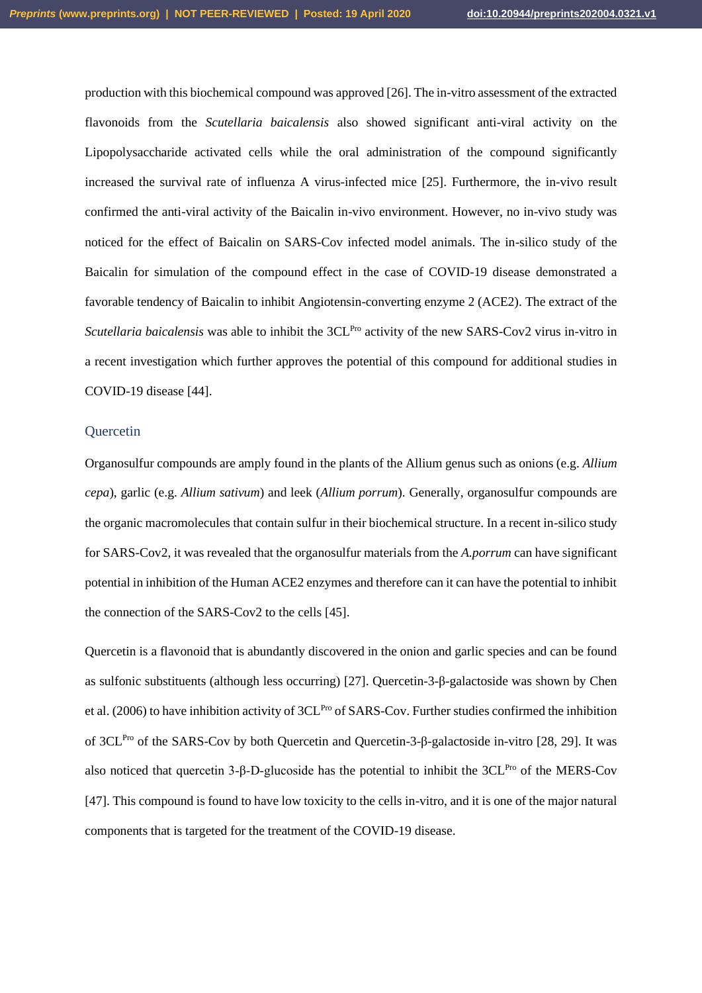production with this biochemical compound was approved [26]. The in-vitro assessment of the extracted flavonoids from the *Scutellaria baicalensis* also showed significant anti-viral activity on the Lipopolysaccharide activated cells while the oral administration of the compound significantly increased the survival rate of influenza A virus-infected mice [25]. Furthermore, the in-vivo result confirmed the anti-viral activity of the Baicalin in-vivo environment. However, no in-vivo study was noticed for the effect of Baicalin on SARS-Cov infected model animals. The in-silico study of the Baicalin for simulation of the compound effect in the case of COVID-19 disease demonstrated a favorable tendency of Baicalin to inhibit Angiotensin-converting enzyme 2 (ACE2). The extract of the *Scutellaria baicalensis* was able to inhibit the 3CL<sup>Pro</sup> activity of the new SARS-Cov2 virus in-vitro in a recent investigation which further approves the potential of this compound for additional studies in COVID-19 disease [44].

#### <span id="page-8-0"></span>**Quercetin**

Organosulfur compounds are amply found in the plants of the Allium genus such as onions (e.g. *Allium cepa*), garlic (e.g. *Allium sativum*) and leek (*Allium porrum*). Generally, organosulfur compounds are the organic macromolecules that contain sulfur in their biochemical structure. In a recent in-silico study for SARS-Cov2, it was revealed that the organosulfur materials from the *A.porrum* can have significant potential in inhibition of the Human ACE2 enzymes and therefore can it can have the potential to inhibit the connection of the SARS-Cov2 to the cells [45].

Quercetin is a flavonoid that is abundantly discovered in the onion and garlic species and can be found as sulfonic substituents (although less occurring) [27]. Quercetin-3-β-galactoside was shown by Chen et al. (2006) to have inhibition activity of 3CL<sup>Pro</sup> of SARS-Cov. Further studies confirmed the inhibition of 3CLPro of the SARS-Cov by both Quercetin and Quercetin-3-β-galactoside in-vitro [28, 29]. It was also noticed that quercetin 3‐β‐D‐glucoside has the potential to inhibit the 3CLPro of the MERS-Cov [47]. This compound is found to have low toxicity to the cells in-vitro, and it is one of the major natural components that is targeted for the treatment of the COVID-19 disease.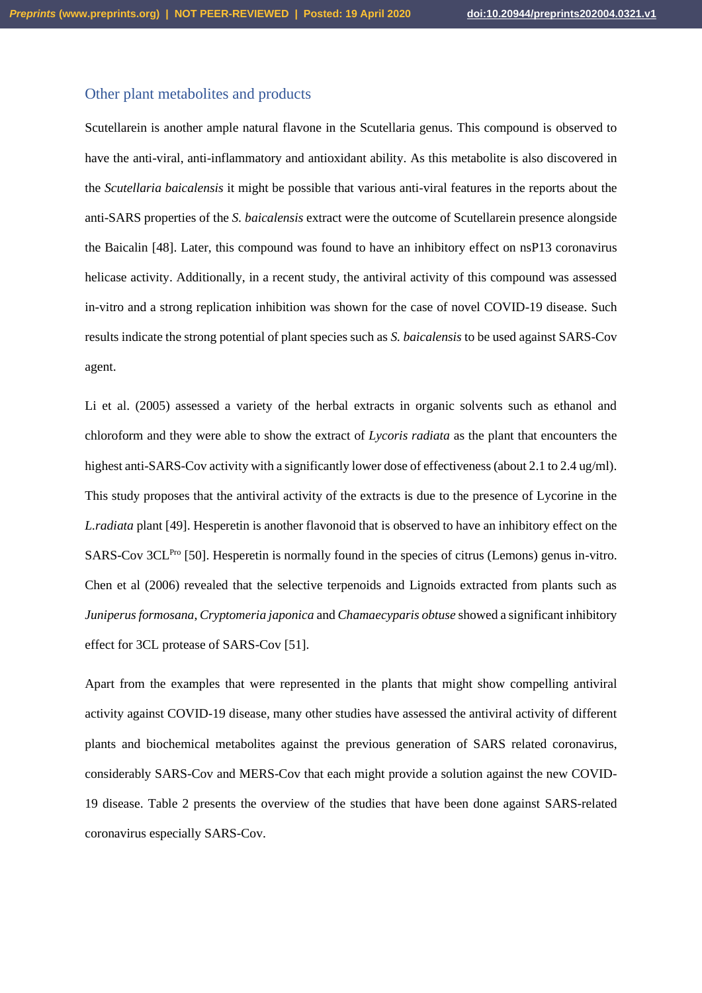#### <span id="page-9-0"></span>Other plant metabolites and products

Scutellarein is another ample natural flavone in the Scutellaria genus. This compound is observed to have the anti-viral, anti-inflammatory and antioxidant ability. As this metabolite is also discovered in the *Scutellaria baicalensis* it might be possible that various anti-viral features in the reports about the anti-SARS properties of the *S. baicalensis* extract were the outcome of Scutellarein presence alongside the Baicalin [48]. Later, this compound was found to have an inhibitory effect on nsP13 coronavirus helicase activity. Additionally, in a recent study, the antiviral activity of this compound was assessed in-vitro and a strong replication inhibition was shown for the case of novel COVID-19 disease. Such results indicate the strong potential of plant species such as *S. baicalensis* to be used against SARS-Cov agent.

Li et al. (2005) assessed a variety of the herbal extracts in organic solvents such as ethanol and chloroform and they were able to show the extract of *Lycoris radiata* as the plant that encounters the highest anti-SARS-Cov activity with a significantly lower dose of effectiveness (about 2.1 to 2.4 ug/ml). This study proposes that the antiviral activity of the extracts is due to the presence of Lycorine in the *L.radiata* plant [49]. Hesperetin is another flavonoid that is observed to have an inhibitory effect on the SARS-Cov 3CL<sup>Pro</sup> [50]. Hesperetin is normally found in the species of citrus (Lemons) genus in-vitro. Chen et al (2006) revealed that the selective terpenoids and Lignoids extracted from plants such as *Juniperus formosana*, *Cryptomeria japonica* and *Chamaecyparis obtuse* showed a significant inhibitory effect for 3CL protease of SARS-Cov [51].

Apart from the examples that were represented in the plants that might show compelling antiviral activity against COVID-19 disease, many other studies have assessed the antiviral activity of different plants and biochemical metabolites against the previous generation of SARS related coronavirus, considerably SARS-Cov and MERS-Cov that each might provide a solution against the new COVID-19 disease. Table 2 presents the overview of the studies that have been done against SARS-related coronavirus especially SARS-Cov.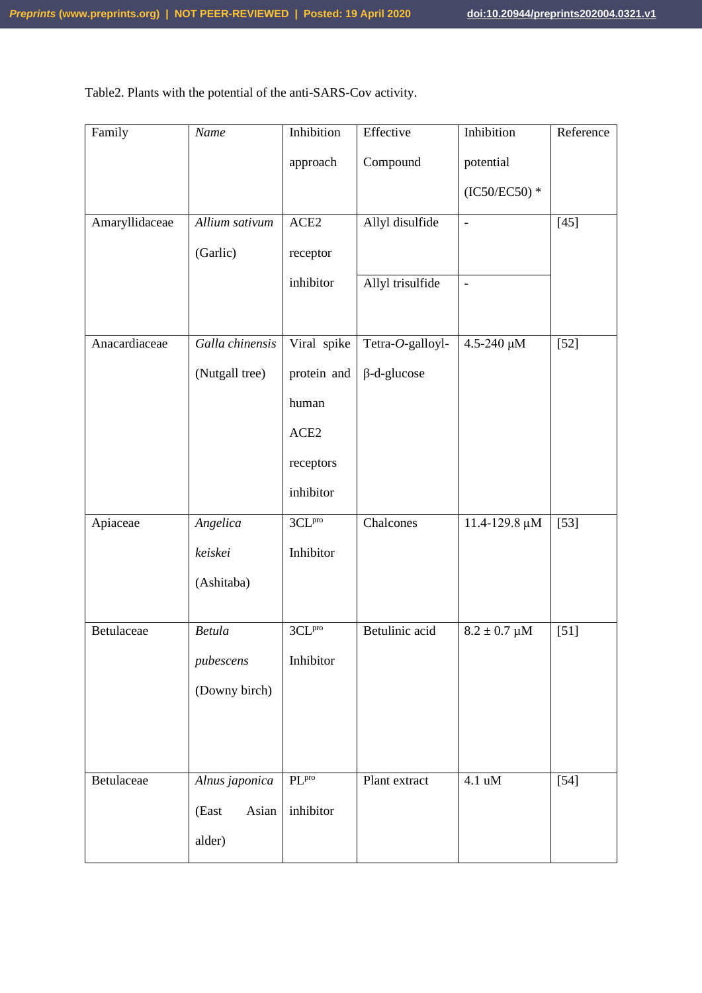Table2. Plants with the potential of the anti-SARS-Cov activity.

| Family         | Name            | <b>Inhibition</b>     | Effective          | Inhibition               | Reference |
|----------------|-----------------|-----------------------|--------------------|--------------------------|-----------|
|                |                 | approach              | Compound           | potential                |           |
|                |                 |                       |                    | $(IC50/EC50)$ *          |           |
|                |                 |                       |                    |                          |           |
| Amaryllidaceae | Allium sativum  | ACE <sub>2</sub>      | Allyl disulfide    | $\blacksquare$           | $[45]$    |
|                | (Garlic)        | receptor              |                    |                          |           |
|                |                 | inhibitor             | Allyl trisulfide   | $\overline{\phantom{a}}$ |           |
|                |                 |                       |                    |                          |           |
| Anacardiaceae  | Galla chinensis | Viral spike           | Tetra-O-galloyl-   | 4.5-240 μM               | $[52]$    |
|                | (Nutgall tree)  | protein and           | $\beta$ -d-glucose |                          |           |
|                |                 | human                 |                    |                          |           |
|                |                 | ACE2                  |                    |                          |           |
|                |                 | receptors             |                    |                          |           |
|                |                 | inhibitor             |                    |                          |           |
| Apiaceae       | Angelica        | $3CL^{pro}$           | Chalcones          | $11.4 - 129.8 \mu M$     | $[53]$    |
|                | keiskei         | Inhibitor             |                    |                          |           |
|                | (Ashitaba)      |                       |                    |                          |           |
|                |                 |                       |                    |                          |           |
| Betulaceae     | <b>Betula</b>   | 3CL <sub>pro</sub>    | Betulinic acid     | $8.2 \pm 0.7 \,\mu M$    | $[51]$    |
|                | pubescens       | Inhibitor             |                    |                          |           |
|                | (Downy birch)   |                       |                    |                          |           |
|                |                 |                       |                    |                          |           |
|                |                 |                       |                    |                          |           |
|                |                 |                       |                    |                          |           |
| Betulaceae     | Alnus japonica  | $\overline{PL}^{pro}$ | Plant extract      | 4.1 uM                   | $[54]$    |
|                | Asian<br>(East  | inhibitor             |                    |                          |           |
|                | alder)          |                       |                    |                          |           |
|                |                 |                       |                    |                          |           |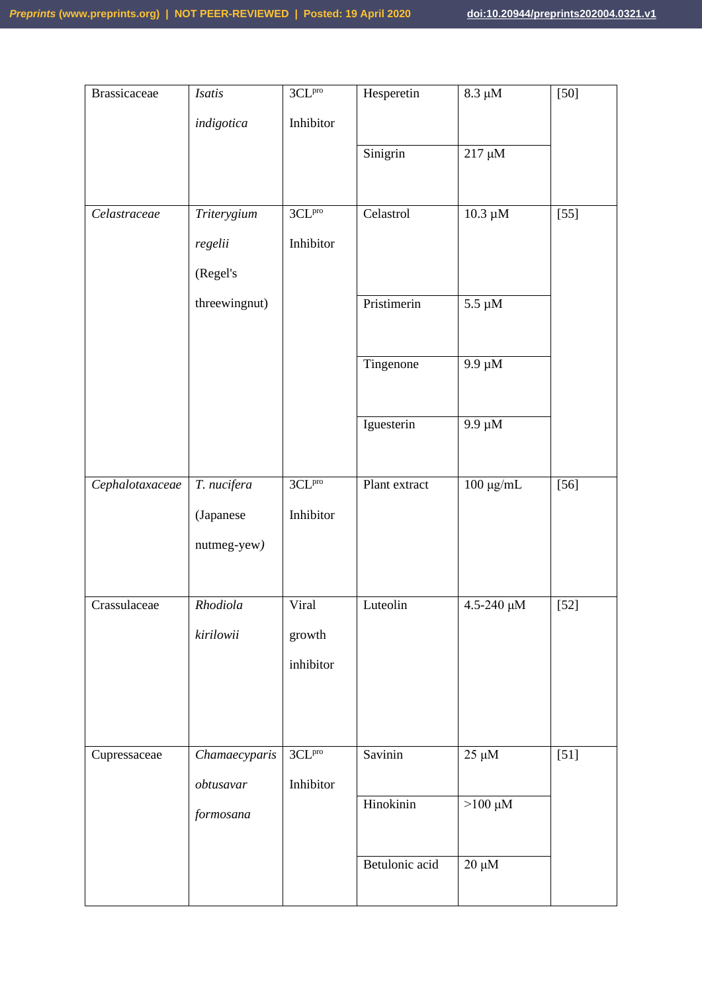| <b>Brassicaceae</b> | Isatis        | $3CL^{pro}$          | Hesperetin     | $8.3 \mu M$    | $[50]$ |
|---------------------|---------------|----------------------|----------------|----------------|--------|
|                     | indigotica    | Inhibitor            |                |                |        |
|                     |               |                      | Sinigrin       | $217 \mu M$    |        |
|                     |               |                      |                |                |        |
| Celastraceae        | Triterygium   | $3CL$ <sup>pro</sup> | Celastrol      | $10.3 \mu M$   | $[55]$ |
|                     | regelii       | Inhibitor            |                |                |        |
|                     | (Regel's      |                      |                |                |        |
|                     | threewingnut) |                      | Pristimerin    | $5.5 \mu M$    |        |
|                     |               |                      | Tingenone      | $9.9 \mu M$    |        |
|                     |               |                      |                |                |        |
|                     |               |                      | Iguesterin     | $9.9 \mu M$    |        |
|                     |               |                      |                |                |        |
| Cephalotaxaceae     | T. nucifera   | $3CL^{pro}$          | Plant extract  | $100 \mu g/mL$ | $[56]$ |
|                     | (Japanese     | Inhibitor            |                |                |        |
|                     | nutmeg-yew)   |                      |                |                |        |
|                     |               |                      |                |                |        |
| Crassulaceae        | Rhodiola      | Viral                | Luteolin       | 4.5-240 μΜ     | $[52]$ |
|                     | kirilowii     | growth               |                |                |        |
|                     |               | inhibitor            |                |                |        |
|                     |               |                      |                |                |        |
|                     |               |                      |                |                |        |
| Cupressaceae        | Chamaecyparis | $3CL^{pro}$          | Savinin        | $25 \mu M$     | $[51]$ |
|                     | obtusavar     | Inhibitor            | Hinokinin      | $>100 \mu M$   |        |
|                     | formosana     |                      |                |                |        |
|                     |               |                      | Betulonic acid | $20 \mu M$     |        |
|                     |               |                      |                |                |        |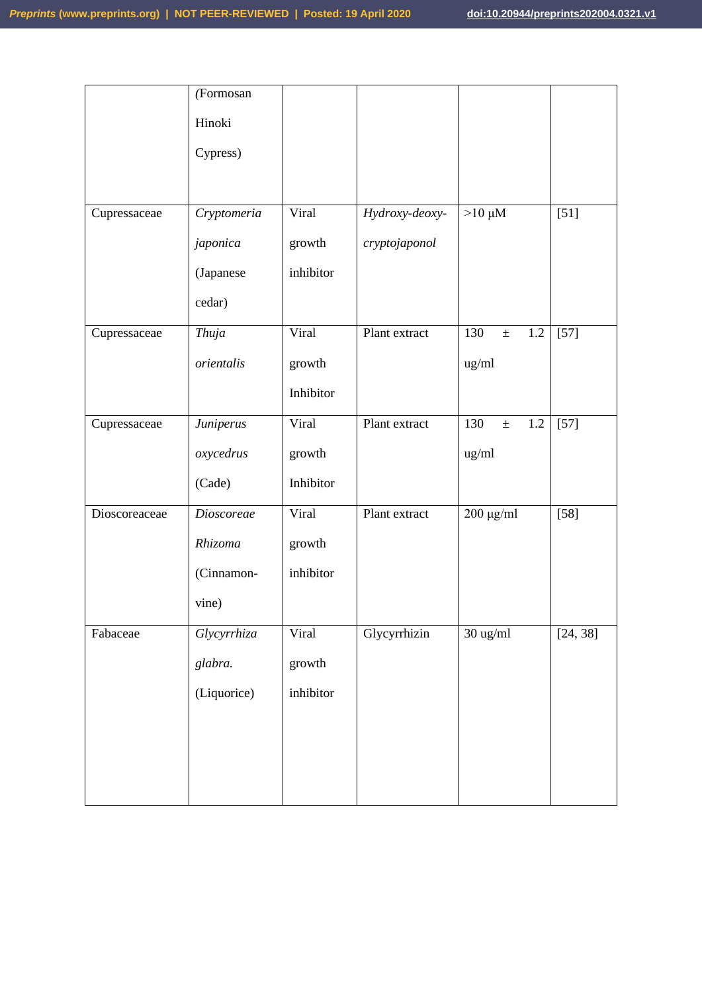|               | (Formosan   |           |                |                     |          |
|---------------|-------------|-----------|----------------|---------------------|----------|
|               | Hinoki      |           |                |                     |          |
|               | Cypress)    |           |                |                     |          |
|               |             |           |                |                     |          |
| Cupressaceae  | Cryptomeria | Viral     | Hydroxy-deoxy- | $>10 \mu M$         | $[51]$   |
|               | japonica    | growth    | cryptojaponol  |                     |          |
|               | (Japanese   | inhibitor |                |                     |          |
|               | cedar)      |           |                |                     |          |
| Cupressaceae  | Thuja       | Viral     | Plant extract  | 130<br>1.2<br>$\pm$ | $[57]$   |
|               | orientalis  | growth    |                | ug/ml               |          |
|               |             | Inhibitor |                |                     |          |
| Cupressaceae  | Juniperus   | Viral     | Plant extract  | 130<br>1.2<br>$\pm$ | $[57]$   |
|               | oxycedrus   | growth    |                | ug/ml               |          |
|               | (Cade)      | Inhibitor |                |                     |          |
| Dioscoreaceae | Dioscoreae  | Viral     | Plant extract  | $200 \ \mu g/ml$    | $[58]$   |
|               | Rhizoma     | growth    |                |                     |          |
|               | (Cinnamon-  | inhibitor |                |                     |          |
|               | vine)       |           |                |                     |          |
| Fabaceae      | Glycyrrhiza | Viral     | Glycyrrhizin   | 30 ug/ml            | [24, 38] |
|               | glabra.     | growth    |                |                     |          |
|               | (Liquorice) | inhibitor |                |                     |          |
|               |             |           |                |                     |          |
|               |             |           |                |                     |          |
|               |             |           |                |                     |          |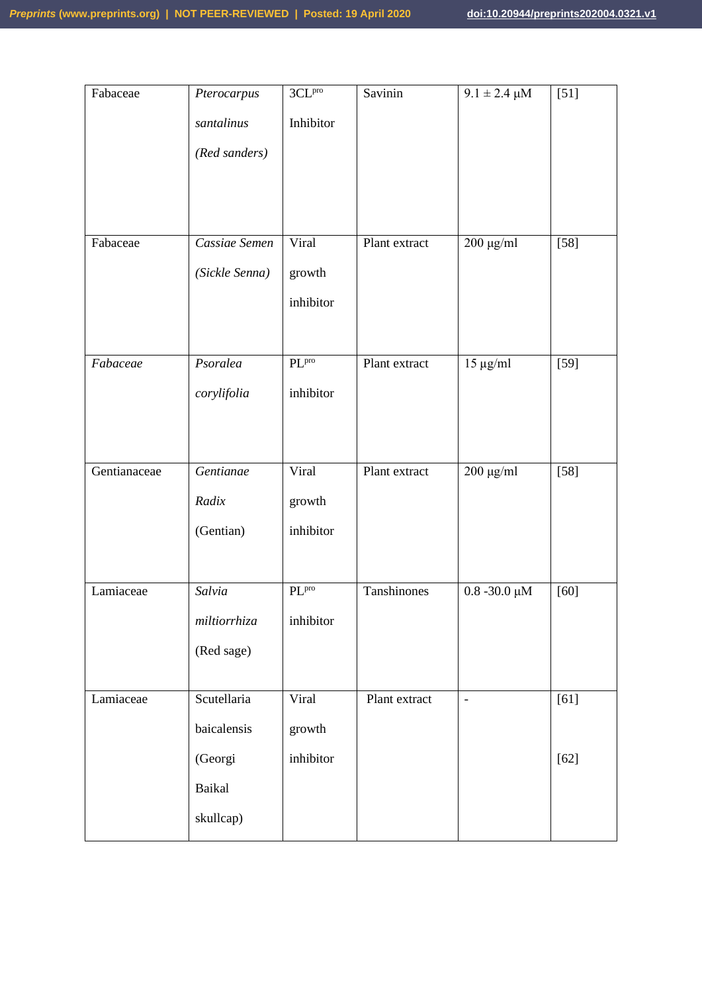| Fabaceae     | Pterocarpus<br>santalinus<br>(Red sanders)                   | $3CL^{pro}$<br>Inhibitor              | Savinin       | $9.1 \pm 2.4 \ \mu M$     | $[51]$           |
|--------------|--------------------------------------------------------------|---------------------------------------|---------------|---------------------------|------------------|
| Fabaceae     | Cassiae Semen<br>(Sickle Senna)                              | Viral<br>growth<br>inhibitor          | Plant extract | $200 \ \mu g/ml$          | $[58]$           |
| Fabaceae     | Psoralea<br>corylifolia                                      | $\text{PL}^{\text{pro}}$<br>inhibitor | Plant extract | $15 \overline{\mu g/ml}$  | $[59]$           |
| Gentianaceae | Gentianae<br>Radix<br>(Gentian)                              | Viral<br>growth<br>inhibitor          | Plant extract | $200 \ \mu g/ml$          | $[58]$           |
| Lamiaceae    | Salvia<br>miltiorrhiza<br>(Red sage)                         | PL <sub>pro</sub><br>inhibitor        | Tanshinones   | $0.8$ -30.0 $\mu\text{M}$ | $[60]$           |
| Lamiaceae    | Scutellaria<br>baicalensis<br>(Georgi<br>Baikal<br>skullcap) | Viral<br>growth<br>inhibitor          | Plant extract | $\overline{\phantom{a}}$  | $[61]$<br>$[62]$ |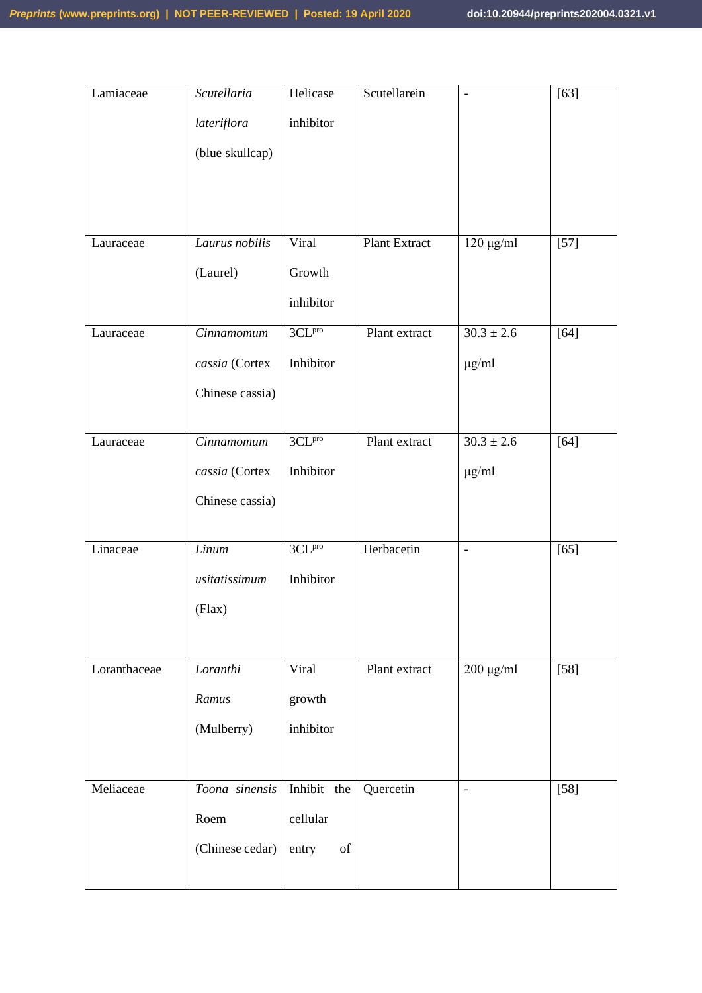| Lamiaceae    | Scutellaria<br>lateriflora<br>(blue skullcap)   | Helicase<br>inhibitor                  | Scutellarein  | $\overline{\phantom{0}}$     | $[63]$ |
|--------------|-------------------------------------------------|----------------------------------------|---------------|------------------------------|--------|
| Lauraceae    | Laurus nobilis<br>(Laurel)                      | Viral<br>Growth<br>inhibitor           | Plant Extract | $120 \mu g/ml$               | $[57]$ |
| Lauraceae    | Cinnamomum<br>cassia (Cortex<br>Chinese cassia) | $3CL^{pro}$<br>Inhibitor               | Plant extract | $30.3 \pm 2.6$<br>$\mu$ g/ml | $[64]$ |
| Lauraceae    | Cinnamomum<br>cassia (Cortex<br>Chinese cassia) | $3CL^{pro}$<br>Inhibitor               | Plant extract | $30.3 \pm 2.6$<br>$\mu$ g/ml | $[64]$ |
| Linaceae     | Linum<br>usitatissimum<br>(Flax)                | $3CL$ <sup>pro</sup><br>Inhibitor      | Herbacetin    | $\blacksquare$               | $[65]$ |
| Loranthaceae | Loranthi<br>Ramus<br>(Mulberry)                 | Viral<br>growth<br>inhibitor           | Plant extract | $200 \ \mu g/ml$             | $[58]$ |
| Meliaceae    | Toona sinensis<br>Roem<br>(Chinese cedar)       | Inhibit the<br>cellular<br>of<br>entry | Quercetin     | $\overline{\phantom{a}}$     | $[58]$ |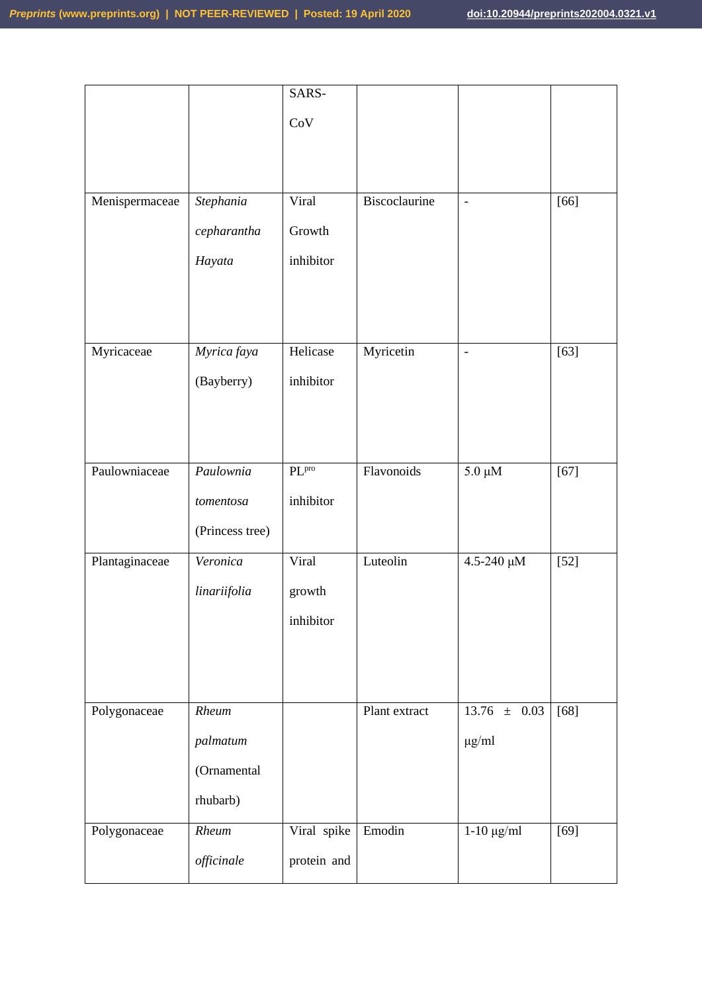|                |                 | SARS-             |               |                   |                   |
|----------------|-----------------|-------------------|---------------|-------------------|-------------------|
|                |                 | CoV               |               |                   |                   |
|                |                 |                   |               |                   |                   |
|                |                 |                   |               |                   |                   |
| Menispermaceae | Stephania       | Viral             | Biscoclaurine | $\overline{a}$    | $[66]$            |
|                | cepharantha     | Growth            |               |                   |                   |
|                | Hayata          | inhibitor         |               |                   |                   |
|                |                 |                   |               |                   |                   |
|                |                 |                   |               |                   |                   |
| Myricaceae     | Myrica faya     | Helicase          | Myricetin     | $\overline{a}$    | $[63]$            |
|                |                 | inhibitor         |               |                   |                   |
|                | (Bayberry)      |                   |               |                   |                   |
|                |                 |                   |               |                   |                   |
|                |                 |                   |               |                   |                   |
| Paulowniaceae  | Paulownia       | PL <sub>bro</sub> | Flavonoids    | $5.0 \mu M$       | $\overline{[67]}$ |
|                | tomentosa       | inhibitor         |               |                   |                   |
|                | (Princess tree) |                   |               |                   |                   |
| Plantaginaceae | Veronica        | Viral             | Luteolin      | $4.5\n-240~\mu M$ | $[52]$            |
|                | linariifolia    | growth            |               |                   |                   |
|                |                 | inhibitor         |               |                   |                   |
|                |                 |                   |               |                   |                   |
|                |                 |                   |               |                   |                   |
|                | Rheum           |                   | Plant extract | $13.76 \pm 0.03$  | $[68]$            |
| Polygonaceae   |                 |                   |               |                   |                   |
|                | palmatum        |                   |               | $\mu g/ml$        |                   |
|                | (Ornamental     |                   |               |                   |                   |
|                | rhubarb)        |                   |               |                   |                   |
| Polygonaceae   | Rheum           | Viral spike       | Emodin        | $1-10 \mu g/ml$   | $[69]$            |
|                | officinale      | protein and       |               |                   |                   |
|                |                 |                   |               |                   |                   |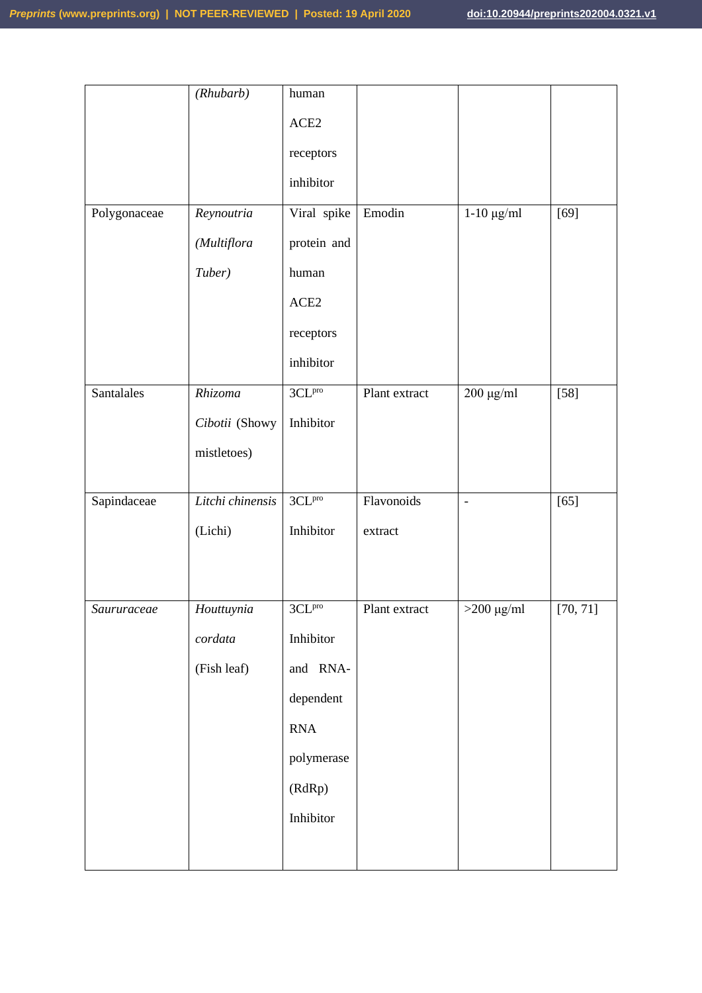| (Rhubarb)        | human                 |                       |                          |               |
|------------------|-----------------------|-----------------------|--------------------------|---------------|
|                  | ACE2                  |                       |                          |               |
|                  | receptors             |                       |                          |               |
|                  | inhibitor             |                       |                          |               |
| Reynoutria       | Viral spike           | Emodin                | $1-10 \mu g/ml$          | $[69]$        |
| (Multiflora      | protein and           |                       |                          |               |
| Tuber)           | human                 |                       |                          |               |
|                  | ACE <sub>2</sub>      |                       |                          |               |
|                  | receptors             |                       |                          |               |
|                  | inhibitor             |                       |                          |               |
| Rhizoma          | $3CL^{\rm pro}$       | Plant extract         | $200 \mu g/ml$           | $[58]$        |
| Cibotii (Showy   | Inhibitor             |                       |                          |               |
| mistletoes)      |                       |                       |                          |               |
|                  |                       |                       |                          |               |
| Litchi chinensis | $3{\rm CL}^{\rm pro}$ | Flavonoids            | $\overline{\phantom{a}}$ | $[65]$        |
| (Lichi)          | Inhibitor             | extract               |                          |               |
|                  |                       |                       |                          |               |
|                  |                       |                       |                          |               |
|                  |                       |                       |                          | [70, 71]      |
| cordata          | Inhibitor             |                       |                          |               |
| (Fish leaf)      | and RNA-              |                       |                          |               |
|                  | dependent             |                       |                          |               |
|                  | $\rm RNA$             |                       |                          |               |
|                  | polymerase            |                       |                          |               |
|                  | (RdRp)                |                       |                          |               |
|                  | Inhibitor             |                       |                          |               |
|                  |                       |                       |                          |               |
|                  | Houttuynia            | $3{\rm CL}^{\rm pro}$ | Plant extract            | $>$ 200 µg/ml |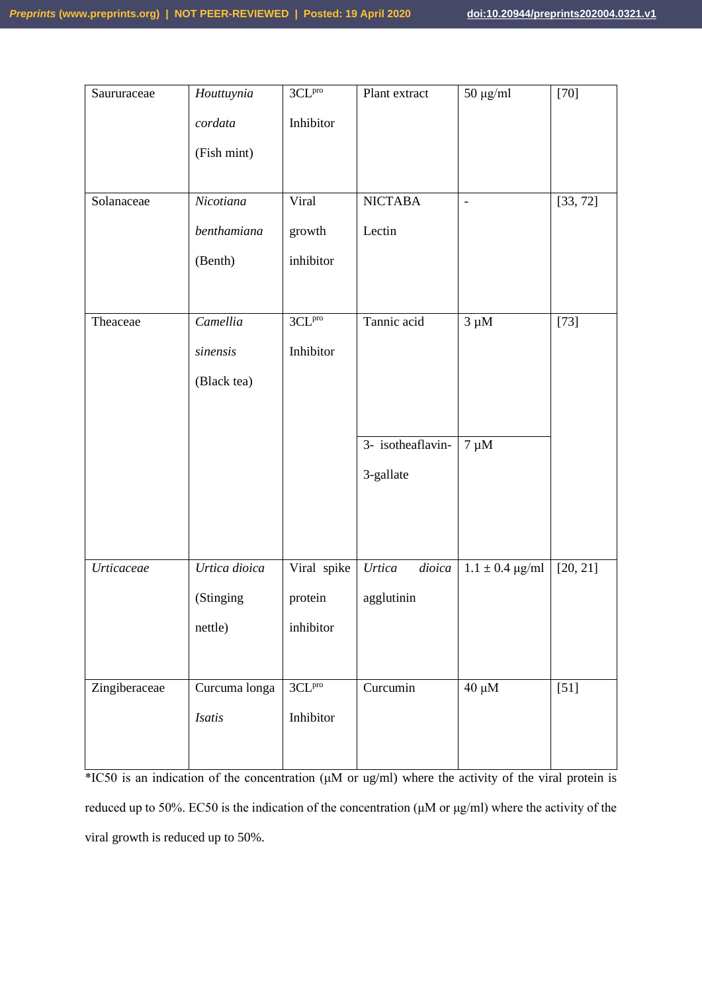| Saururaceae<br>Solanaceae                 | Houttuynia<br>cordata<br>(Fish mint)<br>Nicotiana<br>benthamiana<br>(Benth) | $3CL^{pro}$<br>Inhibitor<br>Viral<br>growth<br>inhibitor        | Plant extract<br><b>NICTABA</b><br>Lectin     | $50 \ \mu g/ml$<br>$\overline{\phantom{m}}$ | $[70]$<br>[33, 72] |
|-------------------------------------------|-----------------------------------------------------------------------------|-----------------------------------------------------------------|-----------------------------------------------|---------------------------------------------|--------------------|
| Theaceae                                  | Camellia<br>sinensis<br>(Black tea)                                         | $3CL$ <sup>pro</sup><br>Inhibitor                               | Tannic acid<br>3- isotheaflavin-<br>3-gallate | $3 \mu M$<br>$7 \mu M$                      | $[73]$             |
| <b>Urticaceae</b>                         | Urtica dioica<br>(Stinging<br>nettle)                                       | Viral spike<br>protein<br>inhibitor                             | dioica<br>Urtica<br>agglutinin                | $1.1 \pm 0.4 \,\mu g/ml$                    | [20, 21]           |
| Zingiberaceae<br>$*IC50$ is an indication | Curcuma longa<br>Isatis<br>$\alpha$ f th                                    | $3CL$ <sup>pro</sup><br>Inhibitor<br>$\ddot{\text{a}}$<br>(1.1) | Curcumin                                      | $40 \mu M$                                  | $[51]$             |

\*IC50 is an indication of the concentration (μM or ug/ml) where the activity of the viral protein is reduced up to 50%. EC50 is the indication of the concentration (μM or μg/ml) where the activity of the viral growth is reduced up to 50%.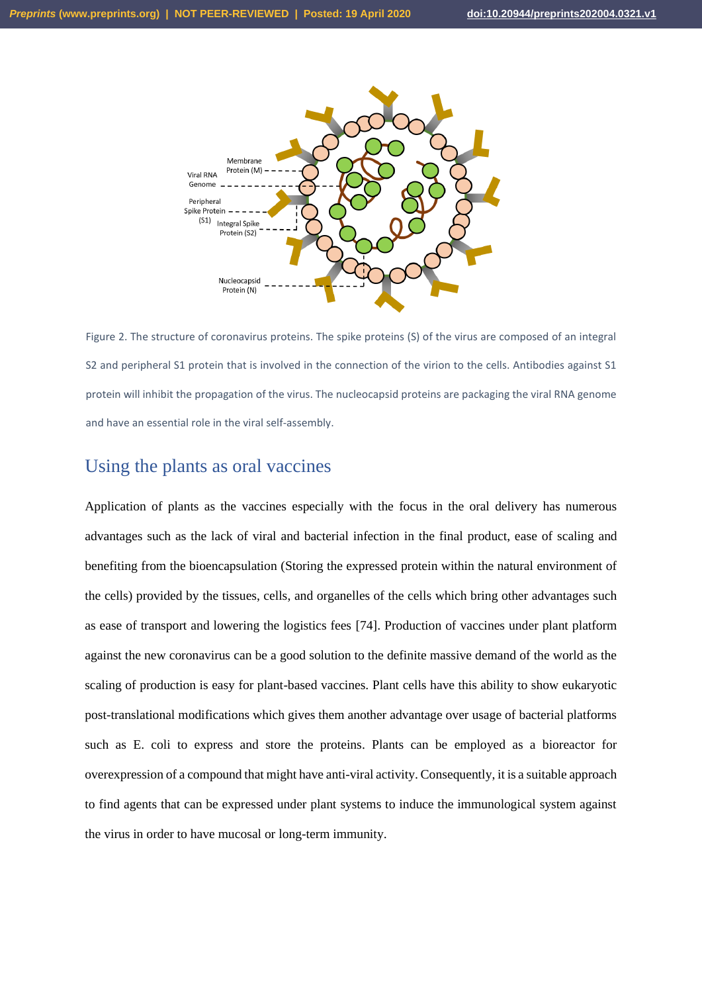

Figure 2. The structure of coronavirus proteins. The spike proteins (S) of the virus are composed of an integral S2 and peripheral S1 protein that is involved in the connection of the virion to the cells. Antibodies against S1 protein will inhibit the propagation of the virus. The nucleocapsid proteins are packaging the viral RNA genome and have an essential role in the viral self-assembly.

## <span id="page-18-0"></span>Using the plants as oral vaccines

Application of plants as the vaccines especially with the focus in the oral delivery has numerous advantages such as the lack of viral and bacterial infection in the final product, ease of scaling and benefiting from the bioencapsulation (Storing the expressed protein within the natural environment of the cells) provided by the tissues, cells, and organelles of the cells which bring other advantages such as ease of transport and lowering the logistics fees [74]. Production of vaccines under plant platform against the new coronavirus can be a good solution to the definite massive demand of the world as the scaling of production is easy for plant-based vaccines. Plant cells have this ability to show eukaryotic post-translational modifications which gives them another advantage over usage of bacterial platforms such as E. coli to express and store the proteins. Plants can be employed as a bioreactor for overexpression of a compound that might have anti-viral activity. Consequently, it is a suitable approach to find agents that can be expressed under plant systems to induce the immunological system against the virus in order to have mucosal or long-term immunity.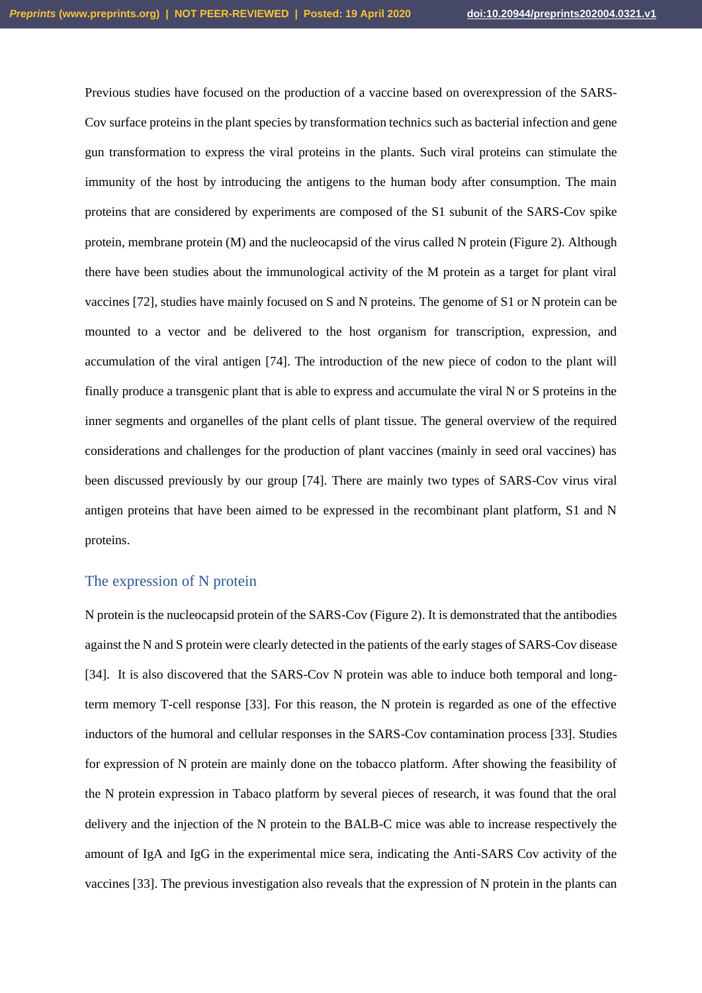Previous studies have focused on the production of a vaccine based on overexpression of the SARS-Cov surface proteins in the plant species by transformation technics such as bacterial infection and gene gun transformation to express the viral proteins in the plants. Such viral proteins can stimulate the immunity of the host by introducing the antigens to the human body after consumption. The main proteins that are considered by experiments are composed of the S1 subunit of the SARS-Cov spike protein, membrane protein (M) and the nucleocapsid of the virus called N protein (Figure 2). Although there have been studies about the immunological activity of the M protein as a target for plant viral vaccines [72], studies have mainly focused on S and N proteins. The genome of S1 or N protein can be mounted to a vector and be delivered to the host organism for transcription, expression, and accumulation of the viral antigen [74]. The introduction of the new piece of codon to the plant will finally produce a transgenic plant that is able to express and accumulate the viral N or S proteins in the inner segments and organelles of the plant cells of plant tissue. The general overview of the required considerations and challenges for the production of plant vaccines (mainly in seed oral vaccines) has been discussed previously by our group [74]. There are mainly two types of SARS-Cov virus viral antigen proteins that have been aimed to be expressed in the recombinant plant platform, S1 and N proteins.

#### <span id="page-19-0"></span>The expression of N protein

N protein is the nucleocapsid protein of the SARS-Cov (Figure 2). It is demonstrated that the antibodies against the N and S protein were clearly detected in the patients of the early stages of SARS-Cov disease [34]. It is also discovered that the SARS-Cov N protein was able to induce both temporal and longterm memory T-cell response [33]. For this reason, the N protein is regarded as one of the effective inductors of the humoral and cellular responses in the SARS-Cov contamination process [33]. Studies for expression of N protein are mainly done on the tobacco platform. After showing the feasibility of the N protein expression in Tabaco platform by several pieces of research, it was found that the oral delivery and the injection of the N protein to the BALB-C mice was able to increase respectively the amount of IgA and IgG in the experimental mice sera, indicating the Anti-SARS Cov activity of the vaccines [33]. The previous investigation also reveals that the expression of N protein in the plants can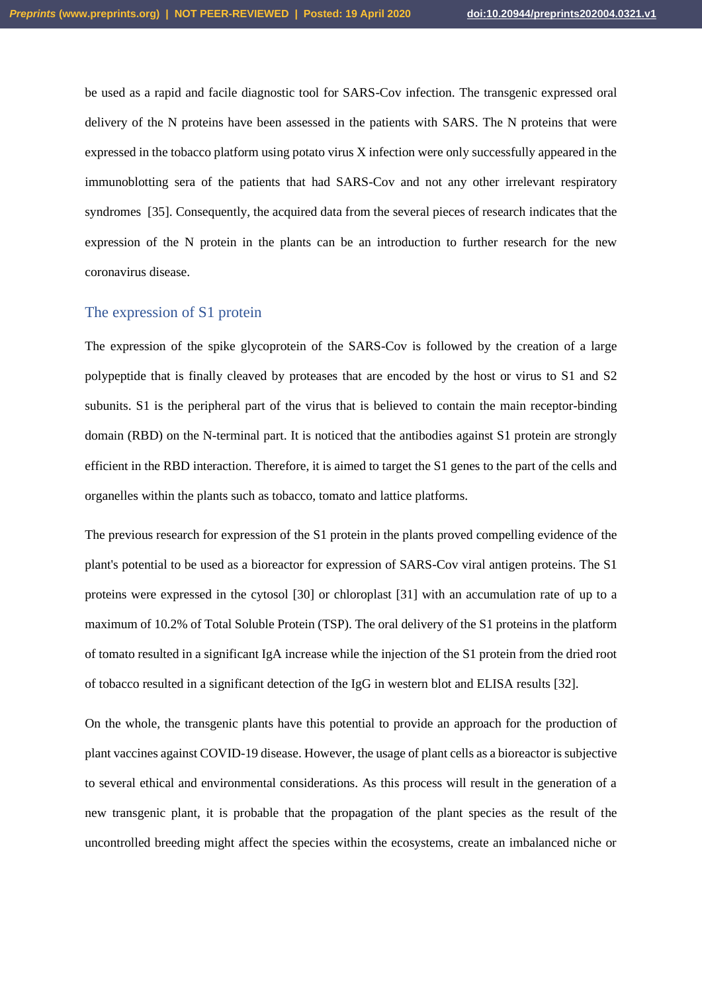be used as a rapid and facile diagnostic tool for SARS-Cov infection. The transgenic expressed oral delivery of the N proteins have been assessed in the patients with SARS. The N proteins that were expressed in the tobacco platform using potato virus X infection were only successfully appeared in the immunoblotting sera of the patients that had SARS-Cov and not any other irrelevant respiratory syndromes [35]. Consequently, the acquired data from the several pieces of research indicates that the expression of the N protein in the plants can be an introduction to further research for the new coronavirus disease.

#### <span id="page-20-0"></span>The expression of S1 protein

The expression of the spike glycoprotein of the SARS-Cov is followed by the creation of a large polypeptide that is finally cleaved by proteases that are encoded by the host or virus to S1 and S2 subunits. S1 is the peripheral part of the virus that is believed to contain the main receptor-binding domain (RBD) on the N-terminal part. It is noticed that the antibodies against S1 protein are strongly efficient in the RBD interaction. Therefore, it is aimed to target the S1 genes to the part of the cells and organelles within the plants such as tobacco, tomato and lattice platforms.

The previous research for expression of the S1 protein in the plants proved compelling evidence of the plant's potential to be used as a bioreactor for expression of SARS-Cov viral antigen proteins. The S1 proteins were expressed in the cytosol [30] or chloroplast [31] with an accumulation rate of up to a maximum of 10.2% of Total Soluble Protein (TSP). The oral delivery of the S1 proteins in the platform of tomato resulted in a significant IgA increase while the injection of the S1 protein from the dried root of tobacco resulted in a significant detection of the IgG in western blot and ELISA results [32].

On the whole, the transgenic plants have this potential to provide an approach for the production of plant vaccines against COVID-19 disease. However, the usage of plant cells as a bioreactor is subjective to several ethical and environmental considerations. As this process will result in the generation of a new transgenic plant, it is probable that the propagation of the plant species as the result of the uncontrolled breeding might affect the species within the ecosystems, create an imbalanced niche or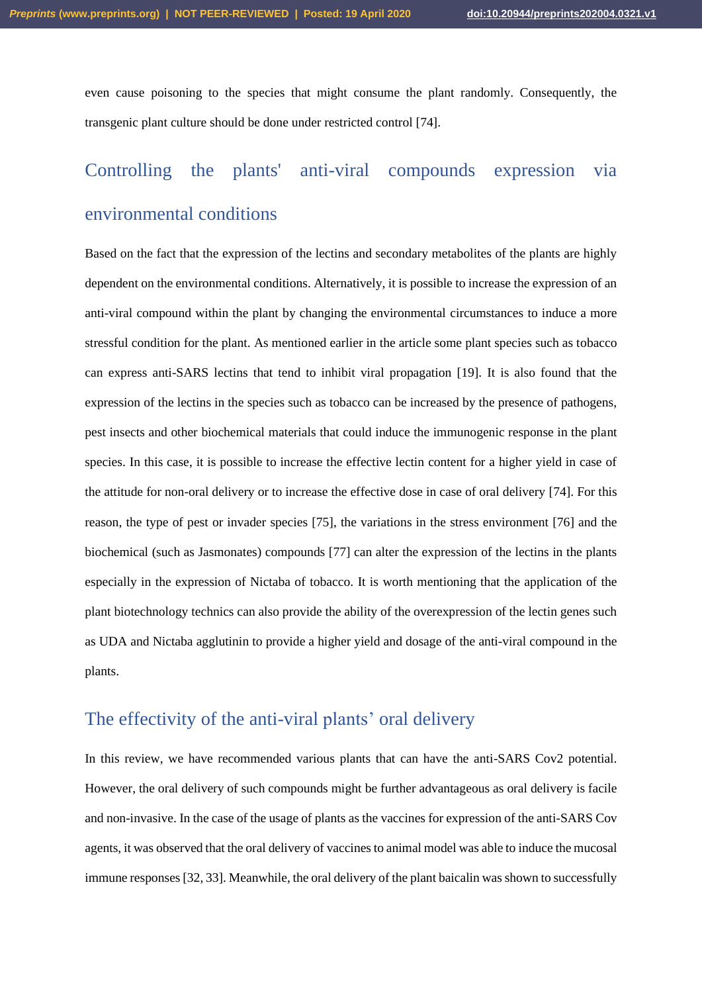even cause poisoning to the species that might consume the plant randomly. Consequently, the transgenic plant culture should be done under restricted control [74].

# <span id="page-21-0"></span>Controlling the plants' anti-viral compounds expression via environmental conditions

Based on the fact that the expression of the lectins and secondary metabolites of the plants are highly dependent on the environmental conditions. Alternatively, it is possible to increase the expression of an anti-viral compound within the plant by changing the environmental circumstances to induce a more stressful condition for the plant. As mentioned earlier in the article some plant species such as tobacco can express anti-SARS lectins that tend to inhibit viral propagation [19]. It is also found that the expression of the lectins in the species such as tobacco can be increased by the presence of pathogens, pest insects and other biochemical materials that could induce the immunogenic response in the plant species. In this case, it is possible to increase the effective lectin content for a higher yield in case of the attitude for non-oral delivery or to increase the effective dose in case of oral delivery [74]. For this reason, the type of pest or invader species [75], the variations in the stress environment [76] and the biochemical (such as Jasmonates) compounds [77] can alter the expression of the lectins in the plants especially in the expression of Nictaba of tobacco. It is worth mentioning that the application of the plant biotechnology technics can also provide the ability of the overexpression of the lectin genes such as UDA and Nictaba agglutinin to provide a higher yield and dosage of the anti-viral compound in the plants.

## <span id="page-21-1"></span>The effectivity of the anti-viral plants' oral delivery

In this review, we have recommended various plants that can have the anti-SARS Cov2 potential. However, the oral delivery of such compounds might be further advantageous as oral delivery is facile and non-invasive. In the case of the usage of plants as the vaccines for expression of the anti-SARS Cov agents, it was observed that the oral delivery of vaccines to animal model was able to induce the mucosal immune responses[32, 33]. Meanwhile, the oral delivery of the plant baicalin was shown to successfully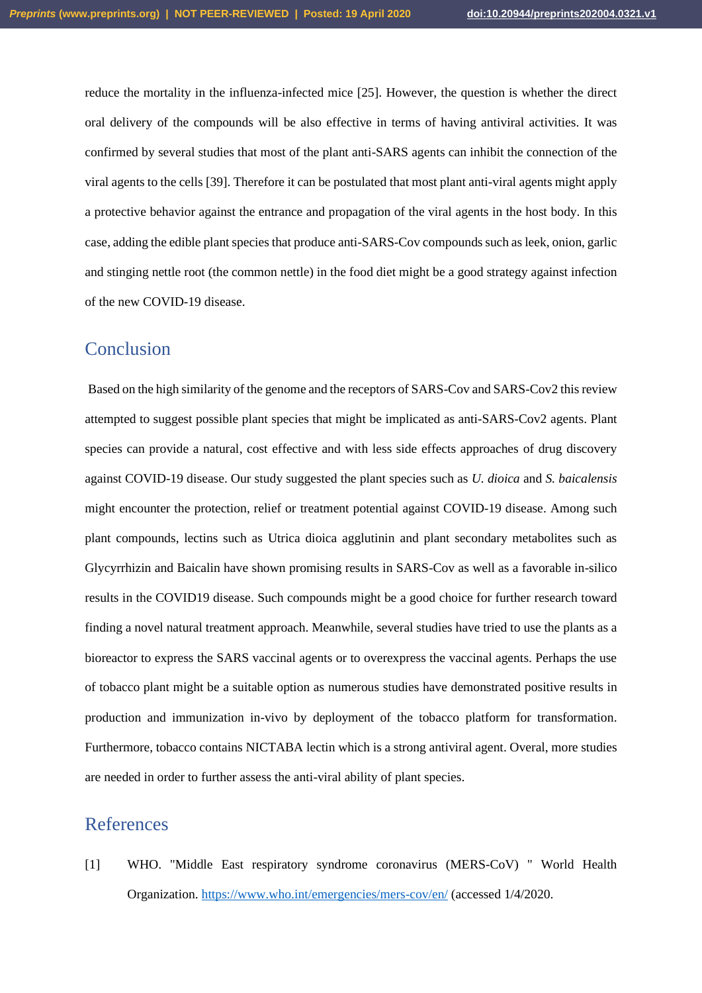reduce the mortality in the influenza-infected mice [25]. However, the question is whether the direct oral delivery of the compounds will be also effective in terms of having antiviral activities. It was confirmed by several studies that most of the plant anti-SARS agents can inhibit the connection of the viral agents to the cells [39]. Therefore it can be postulated that most plant anti-viral agents might apply a protective behavior against the entrance and propagation of the viral agents in the host body. In this case, adding the edible plant species that produce anti-SARS-Cov compounds such as leek, onion, garlic and stinging nettle root (the common nettle) in the food diet might be a good strategy against infection of the new COVID-19 disease.

## <span id="page-22-0"></span>**Conclusion**

Based on the high similarity of the genome and the receptors of SARS-Cov and SARS-Cov2 this review attempted to suggest possible plant species that might be implicated as anti-SARS-Cov2 agents. Plant species can provide a natural, cost effective and with less side effects approaches of drug discovery against COVID-19 disease. Our study suggested the plant species such as *U. dioica* and *S. baicalensis* might encounter the protection, relief or treatment potential against COVID-19 disease. Among such plant compounds, lectins such as Utrica dioica agglutinin and plant secondary metabolites such as Glycyrrhizin and Baicalin have shown promising results in SARS-Cov as well as a favorable in-silico results in the COVID19 disease. Such compounds might be a good choice for further research toward finding a novel natural treatment approach. Meanwhile, several studies have tried to use the plants as a bioreactor to express the SARS vaccinal agents or to overexpress the vaccinal agents. Perhaps the use of tobacco plant might be a suitable option as numerous studies have demonstrated positive results in production and immunization in-vivo by deployment of the tobacco platform for transformation. Furthermore, tobacco contains NICTABA lectin which is a strong antiviral agent. Overal, more studies are needed in order to further assess the anti-viral ability of plant species.

## <span id="page-22-1"></span>References

[1] WHO. "Middle East respiratory syndrome coronavirus (MERS-CoV) " World Health Organization.<https://www.who.int/emergencies/mers-cov/en/> (accessed 1/4/2020.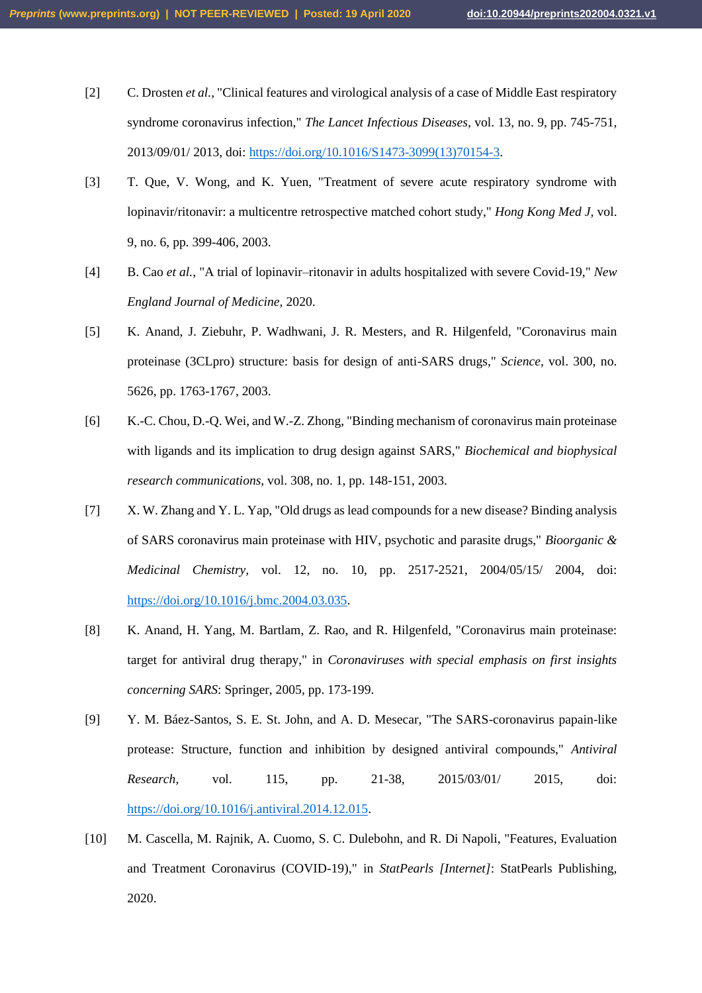- [2] C. Drosten *et al.*, "Clinical features and virological analysis of a case of Middle East respiratory syndrome coronavirus infection," *The Lancet Infectious Diseases,* vol. 13, no. 9, pp. 745-751, 2013/09/01/ 2013, doi: [https://doi.org/10.1016/S1473-3099\(13\)70154-3.](https://doi.org/10.1016/S1473-3099(13)70154-3)
- [3] T. Que, V. Wong, and K. Yuen, "Treatment of severe acute respiratory syndrome with lopinavir/ritonavir: a multicentre retrospective matched cohort study," *Hong Kong Med J,* vol. 9, no. 6, pp. 399-406, 2003.
- [4] B. Cao *et al.*, "A trial of lopinavir–ritonavir in adults hospitalized with severe Covid-19," *New England Journal of Medicine,* 2020.
- [5] K. Anand, J. Ziebuhr, P. Wadhwani, J. R. Mesters, and R. Hilgenfeld, "Coronavirus main proteinase (3CLpro) structure: basis for design of anti-SARS drugs," *Science,* vol. 300, no. 5626, pp. 1763-1767, 2003.
- [6] K.-C. Chou, D.-Q. Wei, and W.-Z. Zhong, "Binding mechanism of coronavirus main proteinase with ligands and its implication to drug design against SARS," *Biochemical and biophysical research communications,* vol. 308, no. 1, pp. 148-151, 2003.
- [7] X. W. Zhang and Y. L. Yap, "Old drugs as lead compounds for a new disease? Binding analysis of SARS coronavirus main proteinase with HIV, psychotic and parasite drugs," *Bioorganic & Medicinal Chemistry,* vol. 12, no. 10, pp. 2517-2521, 2004/05/15/ 2004, doi: [https://doi.org/10.1016/j.bmc.2004.03.035.](https://doi.org/10.1016/j.bmc.2004.03.035)
- [8] K. Anand, H. Yang, M. Bartlam, Z. Rao, and R. Hilgenfeld, "Coronavirus main proteinase: target for antiviral drug therapy," in *Coronaviruses with special emphasis on first insights concerning SARS*: Springer, 2005, pp. 173-199.
- [9] Y. M. Báez-Santos, S. E. St. John, and A. D. Mesecar, "The SARS-coronavirus papain-like protease: Structure, function and inhibition by designed antiviral compounds," *Antiviral Research,* vol. 115, pp. 21-38, 2015/03/01/ 2015, doi: [https://doi.org/10.1016/j.antiviral.2014.12.015.](https://doi.org/10.1016/j.antiviral.2014.12.015)
- [10] M. Cascella, M. Rajnik, A. Cuomo, S. C. Dulebohn, and R. Di Napoli, "Features, Evaluation and Treatment Coronavirus (COVID-19)," in *StatPearls [Internet]*: StatPearls Publishing, 2020.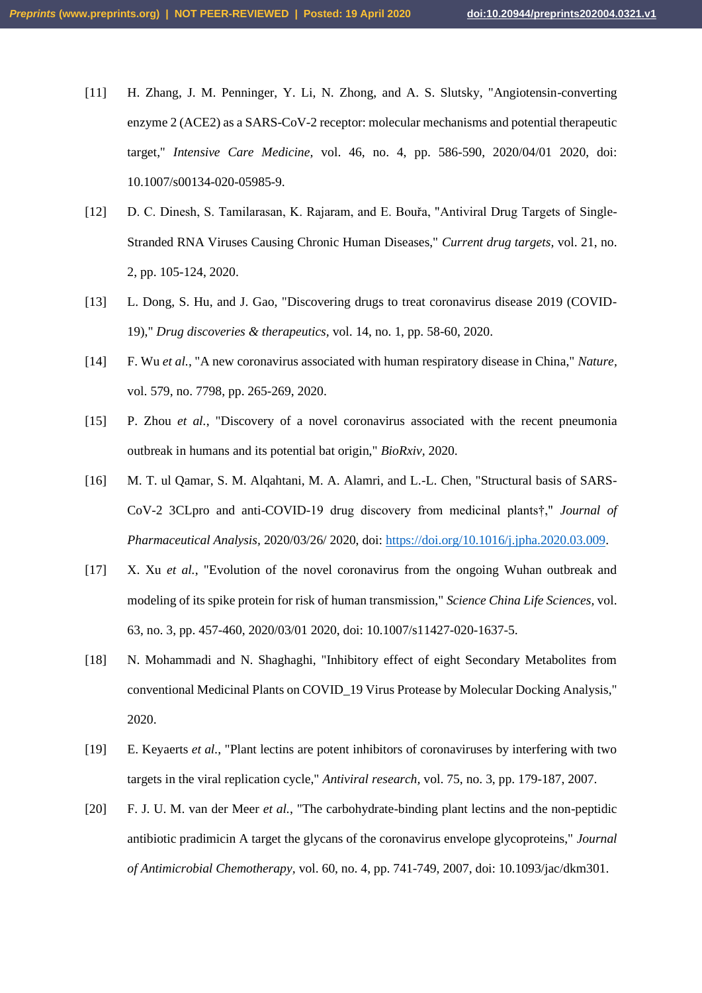- [11] H. Zhang, J. M. Penninger, Y. Li, N. Zhong, and A. S. Slutsky, "Angiotensin-converting enzyme 2 (ACE2) as a SARS-CoV-2 receptor: molecular mechanisms and potential therapeutic target," *Intensive Care Medicine,* vol. 46, no. 4, pp. 586-590, 2020/04/01 2020, doi: 10.1007/s00134-020-05985-9.
- [12] D. C. Dinesh, S. Tamilarasan, K. Rajaram, and E. Bouřa, "Antiviral Drug Targets of Single-Stranded RNA Viruses Causing Chronic Human Diseases," *Current drug targets,* vol. 21, no. 2, pp. 105-124, 2020.
- [13] L. Dong, S. Hu, and J. Gao, "Discovering drugs to treat coronavirus disease 2019 (COVID-19)," *Drug discoveries & therapeutics,* vol. 14, no. 1, pp. 58-60, 2020.
- [14] F. Wu *et al.*, "A new coronavirus associated with human respiratory disease in China," *Nature,*  vol. 579, no. 7798, pp. 265-269, 2020.
- [15] P. Zhou *et al.*, "Discovery of a novel coronavirus associated with the recent pneumonia outbreak in humans and its potential bat origin," *BioRxiv,* 2020.
- [16] M. T. ul Qamar, S. M. Alqahtani, M. A. Alamri, and L.-L. Chen, "Structural basis of SARS-CoV-2 3CLpro and anti-COVID-19 drug discovery from medicinal plants†," *Journal of Pharmaceutical Analysis,* 2020/03/26/ 2020, doi: [https://doi.org/10.1016/j.jpha.2020.03.009.](https://doi.org/10.1016/j.jpha.2020.03.009)
- [17] X. Xu *et al.*, "Evolution of the novel coronavirus from the ongoing Wuhan outbreak and modeling of its spike protein for risk of human transmission," *Science China Life Sciences,* vol. 63, no. 3, pp. 457-460, 2020/03/01 2020, doi: 10.1007/s11427-020-1637-5.
- [18] N. Mohammadi and N. Shaghaghi, "Inhibitory effect of eight Secondary Metabolites from conventional Medicinal Plants on COVID\_19 Virus Protease by Molecular Docking Analysis," 2020.
- [19] E. Keyaerts *et al.*, "Plant lectins are potent inhibitors of coronaviruses by interfering with two targets in the viral replication cycle," *Antiviral research,* vol. 75, no. 3, pp. 179-187, 2007.
- [20] F. J. U. M. van der Meer *et al.*, "The carbohydrate-binding plant lectins and the non-peptidic antibiotic pradimicin A target the glycans of the coronavirus envelope glycoproteins," *Journal of Antimicrobial Chemotherapy,* vol. 60, no. 4, pp. 741-749, 2007, doi: 10.1093/jac/dkm301.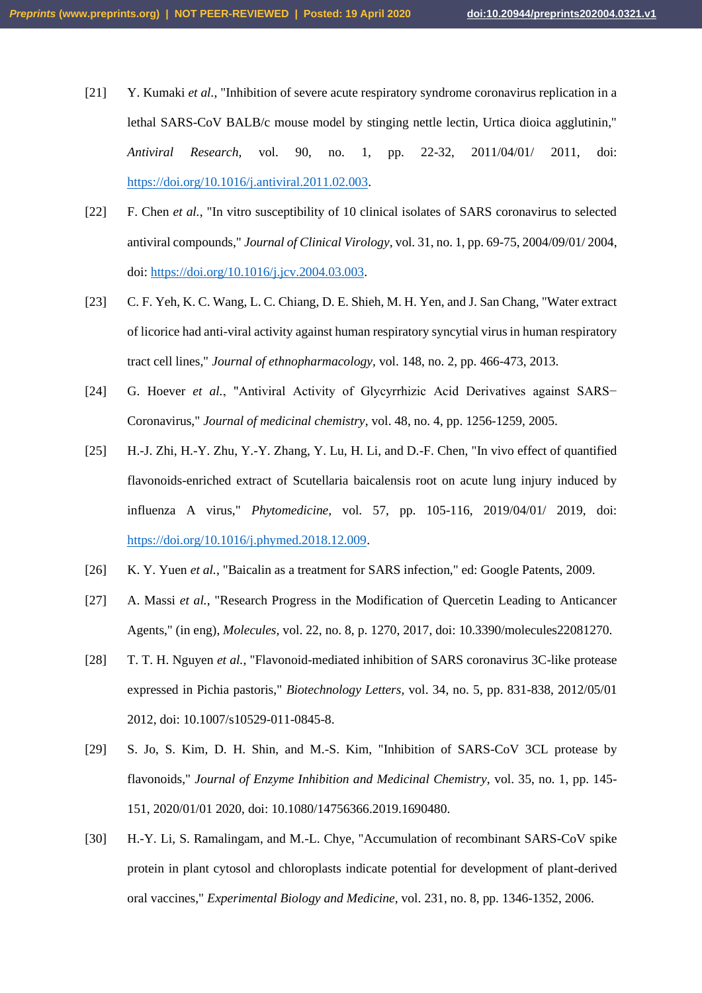- [21] Y. Kumaki *et al.*, "Inhibition of severe acute respiratory syndrome coronavirus replication in a lethal SARS-CoV BALB/c mouse model by stinging nettle lectin, Urtica dioica agglutinin," *Antiviral Research,* vol. 90, no. 1, pp. 22-32, 2011/04/01/ 2011, doi: [https://doi.org/10.1016/j.antiviral.2011.02.003.](https://doi.org/10.1016/j.antiviral.2011.02.003)
- [22] F. Chen *et al.*, "In vitro susceptibility of 10 clinical isolates of SARS coronavirus to selected antiviral compounds," *Journal of Clinical Virology,* vol. 31, no. 1, pp. 69-75, 2004/09/01/ 2004, doi: [https://doi.org/10.1016/j.jcv.2004.03.003.](https://doi.org/10.1016/j.jcv.2004.03.003)
- [23] C. F. Yeh, K. C. Wang, L. C. Chiang, D. E. Shieh, M. H. Yen, and J. San Chang, "Water extract of licorice had anti-viral activity against human respiratory syncytial virus in human respiratory tract cell lines," *Journal of ethnopharmacology,* vol. 148, no. 2, pp. 466-473, 2013.
- [24] G. Hoever *et al.*, "Antiviral Activity of Glycyrrhizic Acid Derivatives against SARS− Coronavirus," *Journal of medicinal chemistry,* vol. 48, no. 4, pp. 1256-1259, 2005.
- [25] H.-J. Zhi, H.-Y. Zhu, Y.-Y. Zhang, Y. Lu, H. Li, and D.-F. Chen, "In vivo effect of quantified flavonoids-enriched extract of Scutellaria baicalensis root on acute lung injury induced by influenza A virus," *Phytomedicine,* vol. 57, pp. 105-116, 2019/04/01/ 2019, doi: [https://doi.org/10.1016/j.phymed.2018.12.009.](https://doi.org/10.1016/j.phymed.2018.12.009)
- [26] K. Y. Yuen *et al.*, "Baicalin as a treatment for SARS infection," ed: Google Patents, 2009.
- [27] A. Massi *et al.*, "Research Progress in the Modification of Quercetin Leading to Anticancer Agents," (in eng), *Molecules,* vol. 22, no. 8, p. 1270, 2017, doi: 10.3390/molecules22081270.
- [28] T. T. H. Nguyen *et al.*, "Flavonoid-mediated inhibition of SARS coronavirus 3C-like protease expressed in Pichia pastoris," *Biotechnology Letters,* vol. 34, no. 5, pp. 831-838, 2012/05/01 2012, doi: 10.1007/s10529-011-0845-8.
- [29] S. Jo, S. Kim, D. H. Shin, and M.-S. Kim, "Inhibition of SARS-CoV 3CL protease by flavonoids," *Journal of Enzyme Inhibition and Medicinal Chemistry,* vol. 35, no. 1, pp. 145- 151, 2020/01/01 2020, doi: 10.1080/14756366.2019.1690480.
- [30] H.-Y. Li, S. Ramalingam, and M.-L. Chye, "Accumulation of recombinant SARS-CoV spike protein in plant cytosol and chloroplasts indicate potential for development of plant-derived oral vaccines," *Experimental Biology and Medicine,* vol. 231, no. 8, pp. 1346-1352, 2006.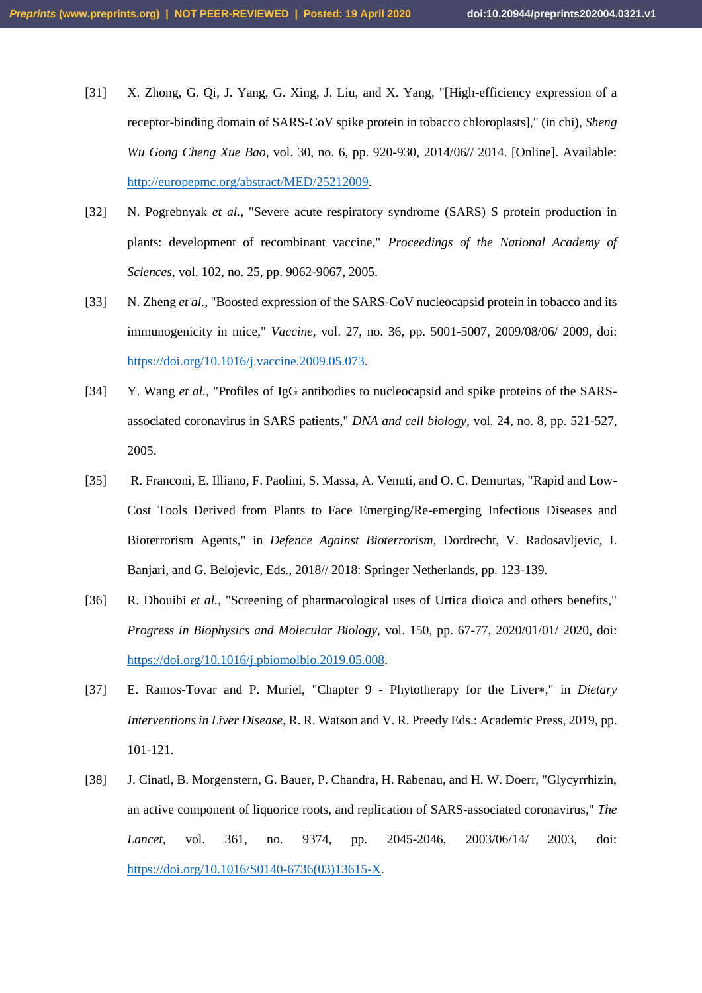- [31] X. Zhong, G. Qi, J. Yang, G. Xing, J. Liu, and X. Yang, "[High-efficiency expression of a receptor-binding domain of SARS-CoV spike protein in tobacco chloroplasts]," (in chi), *Sheng Wu Gong Cheng Xue Bao,* vol. 30, no. 6, pp. 920-930, 2014/06// 2014. [Online]. Available: [http://europepmc.org/abstract/MED/25212009.](http://europepmc.org/abstract/MED/25212009)
- [32] N. Pogrebnyak *et al.*, "Severe acute respiratory syndrome (SARS) S protein production in plants: development of recombinant vaccine," *Proceedings of the National Academy of Sciences,* vol. 102, no. 25, pp. 9062-9067, 2005.
- [33] N. Zheng *et al.*, "Boosted expression of the SARS-CoV nucleocapsid protein in tobacco and its immunogenicity in mice," *Vaccine,* vol. 27, no. 36, pp. 5001-5007, 2009/08/06/ 2009, doi: [https://doi.org/10.1016/j.vaccine.2009.05.073.](https://doi.org/10.1016/j.vaccine.2009.05.073)
- [34] Y. Wang *et al.*, "Profiles of IgG antibodies to nucleocapsid and spike proteins of the SARSassociated coronavirus in SARS patients," *DNA and cell biology,* vol. 24, no. 8, pp. 521-527, 2005.
- [35] R. Franconi, E. Illiano, F. Paolini, S. Massa, A. Venuti, and O. C. Demurtas, "Rapid and Low-Cost Tools Derived from Plants to Face Emerging/Re-emerging Infectious Diseases and Bioterrorism Agents," in *Defence Against Bioterrorism*, Dordrecht, V. Radosavljevic, I. Banjari, and G. Belojevic, Eds., 2018// 2018: Springer Netherlands, pp. 123-139.
- [36] R. Dhouibi *et al.*, "Screening of pharmacological uses of Urtica dioica and others benefits," *Progress in Biophysics and Molecular Biology,* vol. 150, pp. 67-77, 2020/01/01/ 2020, doi: [https://doi.org/10.1016/j.pbiomolbio.2019.05.008.](https://doi.org/10.1016/j.pbiomolbio.2019.05.008)
- [37] E. Ramos-Tovar and P. Muriel, "Chapter 9 Phytotherapy for the Liver∗," in *Dietary Interventions in Liver Disease*, R. R. Watson and V. R. Preedy Eds.: Academic Press, 2019, pp. 101-121.
- [38] J. Cinatl, B. Morgenstern, G. Bauer, P. Chandra, H. Rabenau, and H. W. Doerr, "Glycyrrhizin, an active component of liquorice roots, and replication of SARS-associated coronavirus," *The Lancet,* vol. 361, no. 9374, pp. 2045-2046, 2003/06/14/ 2003, doi: [https://doi.org/10.1016/S0140-6736\(03\)13615-X.](https://doi.org/10.1016/S0140-6736(03)13615-X)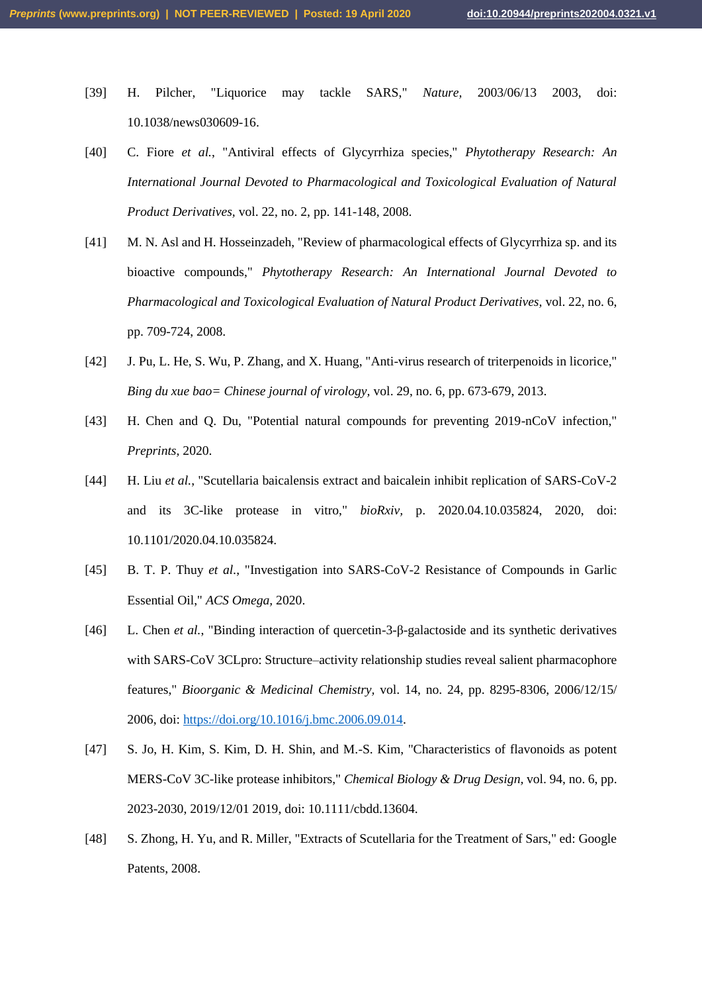- [39] H. Pilcher, "Liquorice may tackle SARS," *Nature,* 2003/06/13 2003, doi: 10.1038/news030609-16.
- [40] C. Fiore *et al.*, "Antiviral effects of Glycyrrhiza species," *Phytotherapy Research: An International Journal Devoted to Pharmacological and Toxicological Evaluation of Natural Product Derivatives,* vol. 22, no. 2, pp. 141-148, 2008.
- [41] M. N. Asl and H. Hosseinzadeh, "Review of pharmacological effects of Glycyrrhiza sp. and its bioactive compounds," *Phytotherapy Research: An International Journal Devoted to Pharmacological and Toxicological Evaluation of Natural Product Derivatives, vol.* 22, no. 6, pp. 709-724, 2008.
- [42] J. Pu, L. He, S. Wu, P. Zhang, and X. Huang, "Anti-virus research of triterpenoids in licorice," *Bing du xue bao= Chinese journal of virology,* vol. 29, no. 6, pp. 673-679, 2013.
- [43] H. Chen and Q. Du, "Potential natural compounds for preventing 2019-nCoV infection," *Preprints,* 2020.
- [44] H. Liu *et al.*, "Scutellaria baicalensis extract and baicalein inhibit replication of SARS-CoV-2 and its 3C-like protease in vitro," *bioRxiv,* p. 2020.04.10.035824, 2020, doi: 10.1101/2020.04.10.035824.
- [45] B. T. P. Thuy *et al.*, "Investigation into SARS-CoV-2 Resistance of Compounds in Garlic Essential Oil," *ACS Omega,* 2020.
- [46] L. Chen *et al.*, "Binding interaction of quercetin-3-β-galactoside and its synthetic derivatives with SARS-CoV 3CLpro: Structure–activity relationship studies reveal salient pharmacophore features," *Bioorganic & Medicinal Chemistry,* vol. 14, no. 24, pp. 8295-8306, 2006/12/15/ 2006, doi: [https://doi.org/10.1016/j.bmc.2006.09.014.](https://doi.org/10.1016/j.bmc.2006.09.014)
- [47] S. Jo, H. Kim, S. Kim, D. H. Shin, and M.-S. Kim, "Characteristics of flavonoids as potent MERS-CoV 3C-like protease inhibitors," *Chemical Biology & Drug Design,* vol. 94, no. 6, pp. 2023-2030, 2019/12/01 2019, doi: 10.1111/cbdd.13604.
- [48] S. Zhong, H. Yu, and R. Miller, "Extracts of Scutellaria for the Treatment of Sars," ed: Google Patents, 2008.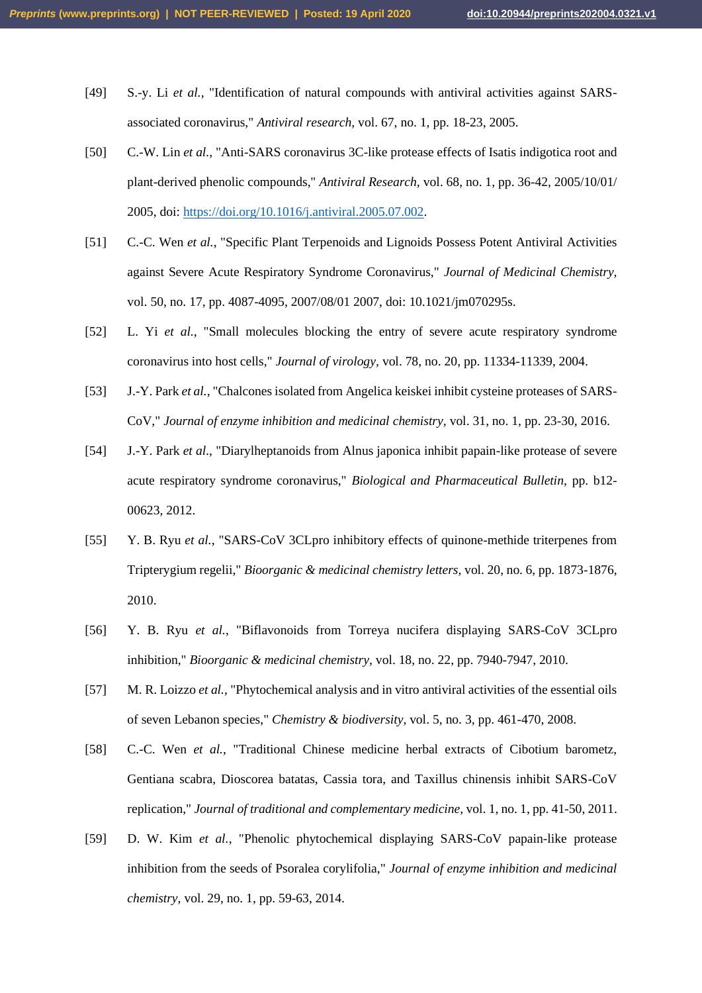- [49] S.-y. Li *et al.*, "Identification of natural compounds with antiviral activities against SARSassociated coronavirus," *Antiviral research,* vol. 67, no. 1, pp. 18-23, 2005.
- [50] C.-W. Lin *et al.*, "Anti-SARS coronavirus 3C-like protease effects of Isatis indigotica root and plant-derived phenolic compounds," *Antiviral Research,* vol. 68, no. 1, pp. 36-42, 2005/10/01/ 2005, doi: [https://doi.org/10.1016/j.antiviral.2005.07.002.](https://doi.org/10.1016/j.antiviral.2005.07.002)
- [51] C.-C. Wen *et al.*, "Specific Plant Terpenoids and Lignoids Possess Potent Antiviral Activities against Severe Acute Respiratory Syndrome Coronavirus," *Journal of Medicinal Chemistry,*  vol. 50, no. 17, pp. 4087-4095, 2007/08/01 2007, doi: 10.1021/jm070295s.
- [52] L. Yi *et al.*, "Small molecules blocking the entry of severe acute respiratory syndrome coronavirus into host cells," *Journal of virology,* vol. 78, no. 20, pp. 11334-11339, 2004.
- [53] J.-Y. Park *et al.*, "Chalcones isolated from Angelica keiskei inhibit cysteine proteases of SARS-CoV," *Journal of enzyme inhibition and medicinal chemistry,* vol. 31, no. 1, pp. 23-30, 2016.
- [54] J.-Y. Park *et al.*, "Diarylheptanoids from Alnus japonica inhibit papain-like protease of severe acute respiratory syndrome coronavirus," *Biological and Pharmaceutical Bulletin,* pp. b12- 00623, 2012.
- [55] Y. B. Ryu *et al.*, "SARS-CoV 3CLpro inhibitory effects of quinone-methide triterpenes from Tripterygium regelii," *Bioorganic & medicinal chemistry letters,* vol. 20, no. 6, pp. 1873-1876, 2010.
- [56] Y. B. Ryu *et al.*, "Biflavonoids from Torreya nucifera displaying SARS-CoV 3CLpro inhibition," *Bioorganic & medicinal chemistry,* vol. 18, no. 22, pp. 7940-7947, 2010.
- [57] M. R. Loizzo *et al.*, "Phytochemical analysis and in vitro antiviral activities of the essential oils of seven Lebanon species," *Chemistry & biodiversity,* vol. 5, no. 3, pp. 461-470, 2008.
- [58] C.-C. Wen *et al.*, "Traditional Chinese medicine herbal extracts of Cibotium barometz, Gentiana scabra, Dioscorea batatas, Cassia tora, and Taxillus chinensis inhibit SARS-CoV replication," *Journal of traditional and complementary medicine,* vol. 1, no. 1, pp. 41-50, 2011.
- [59] D. W. Kim *et al.*, "Phenolic phytochemical displaying SARS-CoV papain-like protease inhibition from the seeds of Psoralea corylifolia," *Journal of enzyme inhibition and medicinal chemistry,* vol. 29, no. 1, pp. 59-63, 2014.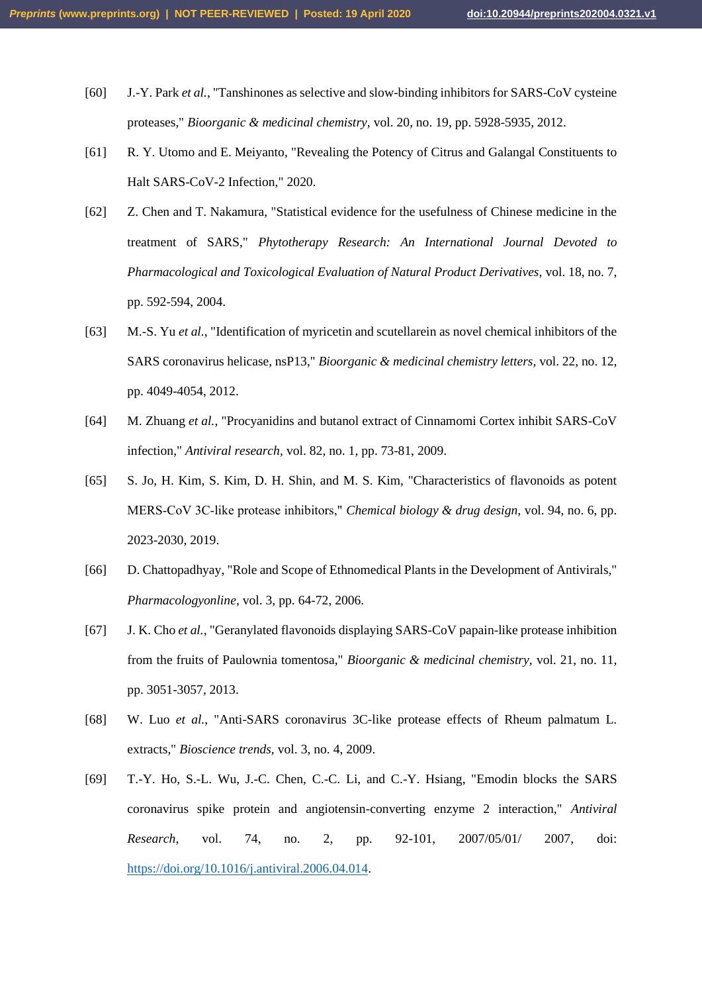- [60] J.-Y. Park *et al.*, "Tanshinones as selective and slow-binding inhibitors for SARS-CoV cysteine proteases," *Bioorganic & medicinal chemistry,* vol. 20, no. 19, pp. 5928-5935, 2012.
- [61] R. Y. Utomo and E. Meiyanto, "Revealing the Potency of Citrus and Galangal Constituents to Halt SARS-CoV-2 Infection," 2020.
- [62] Z. Chen and T. Nakamura, "Statistical evidence for the usefulness of Chinese medicine in the treatment of SARS," *Phytotherapy Research: An International Journal Devoted to Pharmacological and Toxicological Evaluation of Natural Product Derivatives,* vol. 18, no. 7, pp. 592-594, 2004.
- [63] M.-S. Yu *et al.*, "Identification of myricetin and scutellarein as novel chemical inhibitors of the SARS coronavirus helicase, nsP13," *Bioorganic & medicinal chemistry letters,* vol. 22, no. 12, pp. 4049-4054, 2012.
- [64] M. Zhuang *et al.*, "Procyanidins and butanol extract of Cinnamomi Cortex inhibit SARS-CoV infection," *Antiviral research,* vol. 82, no. 1, pp. 73-81, 2009.
- [65] S. Jo, H. Kim, S. Kim, D. H. Shin, and M. S. Kim, "Characteristics of flavonoids as potent MERS‐CoV 3C‐like protease inhibitors," *Chemical biology & drug design,* vol. 94, no. 6, pp. 2023-2030, 2019.
- [66] D. Chattopadhyay, "Role and Scope of Ethnomedical Plants in the Development of Antivirals," *Pharmacologyonline,* vol. 3, pp. 64-72, 2006.
- [67] J. K. Cho *et al.*, "Geranylated flavonoids displaying SARS-CoV papain-like protease inhibition from the fruits of Paulownia tomentosa," *Bioorganic & medicinal chemistry,* vol. 21, no. 11, pp. 3051-3057, 2013.
- [68] W. Luo *et al.*, "Anti-SARS coronavirus 3C-like protease effects of Rheum palmatum L. extracts," *Bioscience trends,* vol. 3, no. 4, 2009.
- [69] T.-Y. Ho, S.-L. Wu, J.-C. Chen, C.-C. Li, and C.-Y. Hsiang, "Emodin blocks the SARS coronavirus spike protein and angiotensin-converting enzyme 2 interaction," *Antiviral Research,* vol. 74, no. 2, pp. 92-101, 2007/05/01/ 2007, doi: [https://doi.org/10.1016/j.antiviral.2006.04.014.](https://doi.org/10.1016/j.antiviral.2006.04.014)